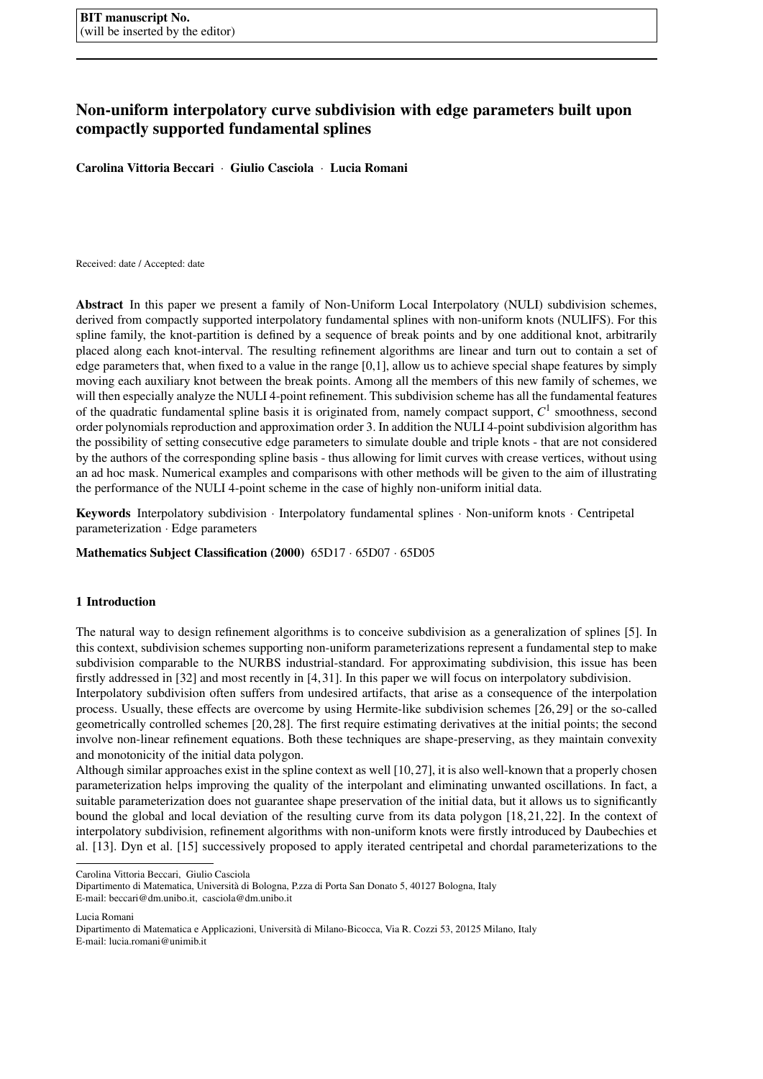# Non-uniform interpolatory curve subdivision with edge parameters built upon compactly supported fundamental splines

Carolina Vittoria Beccari *·* Giulio Casciola *·* Lucia Romani

Received: date / Accepted: date

Abstract In this paper we present a family of Non-Uniform Local Interpolatory (NULI) subdivision schemes, derived from compactly supported interpolatory fundamental splines with non-uniform knots (NULIFS). For this spline family, the knot-partition is defined by a sequence of break points and by one additional knot, arbitrarily placed along each knot-interval. The resulting refinement algorithms are linear and turn out to contain a set of edge parameters that, when fixed to a value in the range [0,1], allow us to achieve special shape features by simply moving each auxiliary knot between the break points. Among all the members of this new family of schemes, we will then especially analyze the NULI 4-point refinement. This subdivision scheme has all the fundamental features of the quadratic fundamental spline basis it is originated from, namely compact support, *C* 1 smoothness, second order polynomials reproduction and approximation order 3. In addition the NULI 4-point subdivision algorithm has the possibility of setting consecutive edge parameters to simulate double and triple knots - that are not considered by the authors of the corresponding spline basis - thus allowing for limit curves with crease vertices, without using an ad hoc mask. Numerical examples and comparisons with other methods will be given to the aim of illustrating the performance of the NULI 4-point scheme in the case of highly non-uniform initial data.

Keywords Interpolatory subdivision *·* Interpolatory fundamental splines *·* Non-uniform knots *·* Centripetal parameterization *·* Edge parameters

Mathematics Subject Classification (2000) 65D17 *·* 65D07 *·* 65D05

## 1 Introduction

The natural way to design refinement algorithms is to conceive subdivision as a generalization of splines [5]. In this context, subdivision schemes supporting non-uniform parameterizations represent a fundamental step to make subdivision comparable to the NURBS industrial-standard. For approximating subdivision, this issue has been firstly addressed in [32] and most recently in [4, 31]. In this paper we will focus on interpolatory subdivision.

Interpolatory subdivision often suffers from undesired artifacts, that arise as a consequence of the interpolation process. Usually, these effects are overcome by using Hermite-like subdivision schemes [26, 29] or the so-called geometrically controlled schemes [20, 28]. The first require estimating derivatives at the initial points; the second involve non-linear refinement equations. Both these techniques are shape-preserving, as they maintain convexity and monotonicity of the initial data polygon.

Although similar approaches exist in the spline context as well  $[10, 27]$ , it is also well-known that a properly chosen parameterization helps improving the quality of the interpolant and eliminating unwanted oscillations. In fact, a suitable parameterization does not guarantee shape preservation of the initial data, but it allows us to significantly bound the global and local deviation of the resulting curve from its data polygon [18, 21, 22]. In the context of interpolatory subdivision, refinement algorithms with non-uniform knots were firstly introduced by Daubechies et al. [13]. Dyn et al. [15] successively proposed to apply iterated centripetal and chordal parameterizations to the

Carolina Vittoria Beccari, Giulio Casciola

Dipartimento di Matematica, Universita di Bologna, P.zza di Porta San Donato 5, 40127 Bologna, Italy ` E-mail: beccari@dm.unibo.it, casciola@dm.unibo.it

Lucia Romani

Dipartimento di Matematica e Applicazioni, Universita di Milano-Bicocca, Via R. Cozzi 53, 20125 Milano, Italy ` E-mail: lucia.romani@unimib.it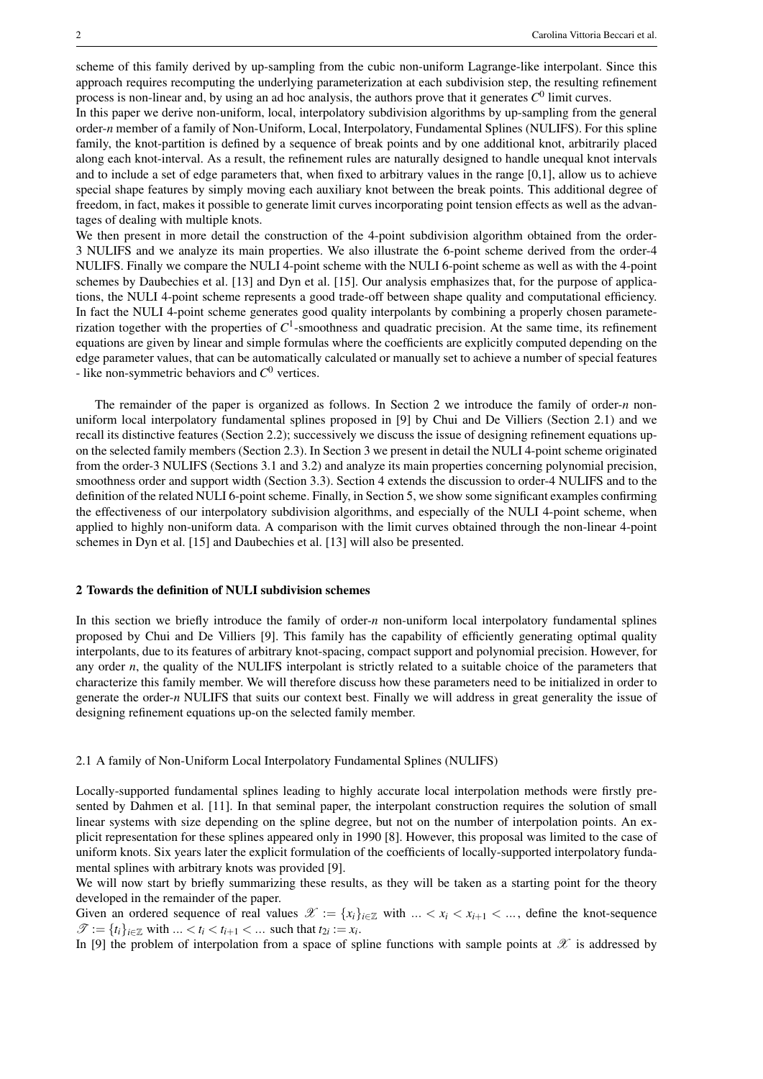scheme of this family derived by up-sampling from the cubic non-uniform Lagrange-like interpolant. Since this approach requires recomputing the underlying parameterization at each subdivision step, the resulting refinement process is non-linear and, by using an ad hoc analysis, the authors prove that it generates  $C^0$  limit curves. In this paper we derive non-uniform, local, interpolatory subdivision algorithms by up-sampling from the general order-*n* member of a family of Non-Uniform, Local, Interpolatory, Fundamental Splines (NULIFS). For this spline family, the knot-partition is defined by a sequence of break points and by one additional knot, arbitrarily placed along each knot-interval. As a result, the refinement rules are naturally designed to handle unequal knot intervals and to include a set of edge parameters that, when fixed to arbitrary values in the range [0,1], allow us to achieve special shape features by simply moving each auxiliary knot between the break points. This additional degree of freedom, in fact, makes it possible to generate limit curves incorporating point tension effects as well as the advantages of dealing with multiple knots.

We then present in more detail the construction of the 4-point subdivision algorithm obtained from the order-3 NULIFS and we analyze its main properties. We also illustrate the 6-point scheme derived from the order-4 NULIFS. Finally we compare the NULI 4-point scheme with the NULI 6-point scheme as well as with the 4-point schemes by Daubechies et al. [13] and Dyn et al. [15]. Our analysis emphasizes that, for the purpose of applications, the NULI 4-point scheme represents a good trade-off between shape quality and computational efficiency. In fact the NULI 4-point scheme generates good quality interpolants by combining a properly chosen parameterization together with the properties of  $C^1$ -smoothness and quadratic precision. At the same time, its refinement equations are given by linear and simple formulas where the coefficients are explicitly computed depending on the edge parameter values, that can be automatically calculated or manually set to achieve a number of special features - like non-symmetric behaviors and  $C^0$  vertices.

The remainder of the paper is organized as follows. In Section 2 we introduce the family of order-*n* nonuniform local interpolatory fundamental splines proposed in [9] by Chui and De Villiers (Section 2.1) and we recall its distinctive features (Section 2.2); successively we discuss the issue of designing refinement equations upon the selected family members (Section 2.3). In Section 3 we present in detail the NULI 4-point scheme originated from the order-3 NULIFS (Sections 3.1 and 3.2) and analyze its main properties concerning polynomial precision, smoothness order and support width (Section 3.3). Section 4 extends the discussion to order-4 NULIFS and to the definition of the related NULI 6-point scheme. Finally, in Section 5, we show some significant examples confirming the effectiveness of our interpolatory subdivision algorithms, and especially of the NULI 4-point scheme, when applied to highly non-uniform data. A comparison with the limit curves obtained through the non-linear 4-point schemes in Dyn et al. [15] and Daubechies et al. [13] will also be presented.

#### 2 Towards the definition of NULI subdivision schemes

In this section we briefly introduce the family of order-*n* non-uniform local interpolatory fundamental splines proposed by Chui and De Villiers [9]. This family has the capability of efficiently generating optimal quality interpolants, due to its features of arbitrary knot-spacing, compact support and polynomial precision. However, for any order *n*, the quality of the NULIFS interpolant is strictly related to a suitable choice of the parameters that characterize this family member. We will therefore discuss how these parameters need to be initialized in order to generate the order-*n* NULIFS that suits our context best. Finally we will address in great generality the issue of designing refinement equations up-on the selected family member.

#### 2.1 A family of Non-Uniform Local Interpolatory Fundamental Splines (NULIFS)

Locally-supported fundamental splines leading to highly accurate local interpolation methods were firstly presented by Dahmen et al. [11]. In that seminal paper, the interpolant construction requires the solution of small linear systems with size depending on the spline degree, but not on the number of interpolation points. An explicit representation for these splines appeared only in 1990 [8]. However, this proposal was limited to the case of uniform knots. Six years later the explicit formulation of the coefficients of locally-supported interpolatory fundamental splines with arbitrary knots was provided [9].

We will now start by briefly summarizing these results, as they will be taken as a starting point for the theory developed in the remainder of the paper.

Given an ordered sequence of real values  $\mathcal{X} := \{x_i\}_{i \in \mathbb{Z}}$  with  $\ldots < x_i < x_{i+1} < \ldots$ , define the knot-sequence  $\mathscr{T} := \{t_i\}_{i \in \mathbb{Z}} \text{ with } ... < t_i < t_{i+1} < ... \text{ such that } t_{2i} := x_i.$ 

In [9] the problem of interpolation from a space of spline functions with sample points at  $\mathcal X$  is addressed by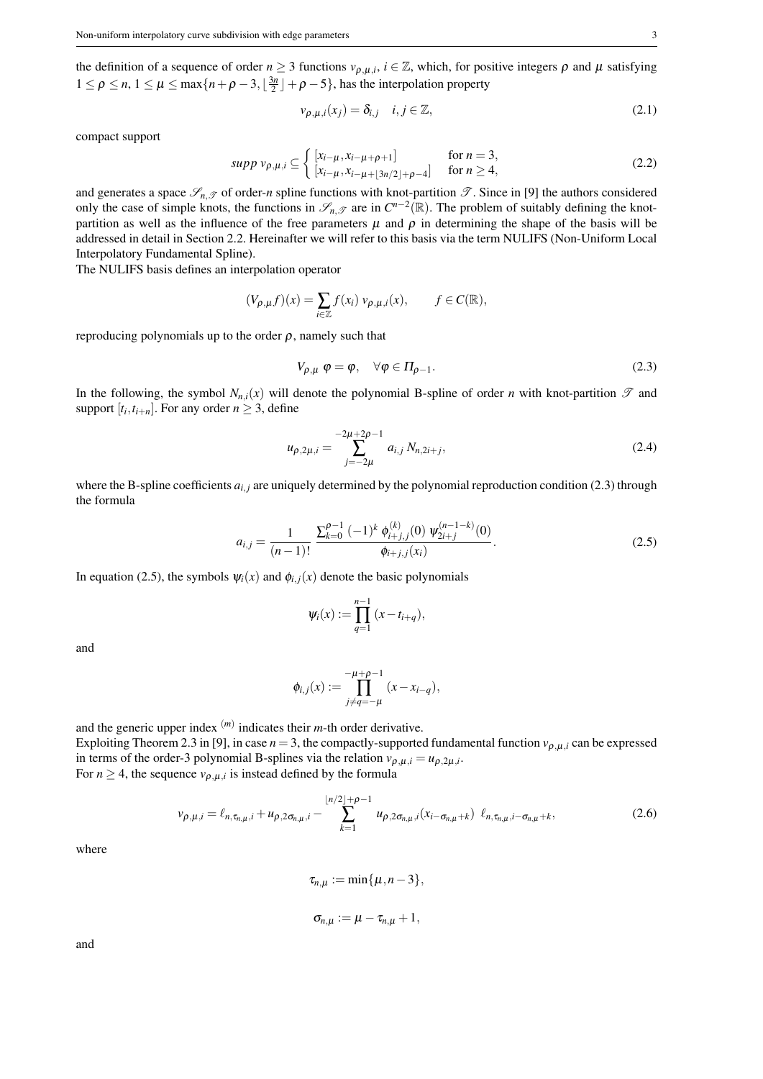the definition of a sequence of order  $n \ge 3$  functions  $v_{\rho,\mu,i}$ ,  $i \in \mathbb{Z}$ , which, for positive integers  $\rho$  and  $\mu$  satisfying  $1 \leq \rho \leq n, 1 \leq \mu \leq \max\{n+\rho-3, \lfloor\frac{3n}{2}\rfloor+\rho-5\}$ , has the interpolation property

$$
v_{\rho,\mu,i}(x_j) = \delta_{i,j} \quad i,j \in \mathbb{Z},\tag{2.1}
$$

compact support

$$
supp v_{\rho,\mu,i} \subseteq \begin{cases} [x_{i-\mu}, x_{i-\mu+\rho+1}] & \text{for } n = 3, \\ [x_{i-\mu}, x_{i-\mu+1}]_{3n/2} + \rho - 4 & \text{for } n \ge 4, \end{cases}
$$
 (2.2)

and generates a space  $\mathscr{S}_{n,\mathscr{T}}$  of order-*n* spline functions with knot-partition  $\mathscr{T}$ . Since in [9] the authors considered only the case of simple knots, the functions in  $\mathcal{S}_{n,\mathcal{T}}$  are in  $C^{n-2}(\mathbb{R})$ . The problem of suitably defining the knotpartition as well as the influence of the free parameters  $\mu$  and  $\rho$  in determining the shape of the basis will be addressed in detail in Section 2.2. Hereinafter we will refer to this basis via the term NULIFS (Non-Uniform Local Interpolatory Fundamental Spline).

The NULIFS basis defines an interpolation operator

$$
(V_{\rho,\mu}f)(x) = \sum_{i \in \mathbb{Z}} f(x_i) \, v_{\rho,\mu,i}(x), \qquad f \in C(\mathbb{R}),
$$

reproducing polynomials up to the order  $\rho$ , namely such that

$$
V_{\rho,\mu} \varphi = \varphi, \quad \forall \varphi \in \Pi_{\rho-1}.
$$
\n(2.3)

In the following, the symbol  $N_{n,i}(x)$  will denote the polynomial B-spline of order *n* with knot-partition  $\mathcal T$  and support  $[t_i, t_{i+n}]$ . For any order  $n \geq 3$ , define

$$
u_{\rho,2\mu,i} = \sum_{j=-2\mu}^{-2\mu+2\rho-1} a_{i,j} N_{n,2i+j},
$$
\n(2.4)

where the B-spline coefficients  $a_{i,j}$  are uniquely determined by the polynomial reproduction condition (2.3) through the formula

$$
a_{i,j} = \frac{1}{(n-1)!} \frac{\sum_{k=0}^{p-1} (-1)^k \phi_{i+j,j}^{(k)}(0) \psi_{2i+j}^{(n-1-k)}(0)}{\phi_{i+j,j}(x_i)}.
$$
(2.5)

In equation (2.5), the symbols  $\psi_i(x)$  and  $\phi_{i,i}(x)$  denote the basic polynomials

$$
\psi_i(x) := \prod_{q=1}^{n-1} (x - t_{i+q}),
$$

and

$$
\phi_{i,j}(x) := \prod_{j \neq q=-\mu}^{-\mu+\rho-1} (x - x_{i-q}),
$$

and the generic upper index (*m*) indicates their *m*-th order derivative.

Exploiting Theorem 2.3 in [9], in case  $n = 3$ , the compactly-supported fundamental function  $v_{\rho,\mu,i}$  can be expressed in terms of the order-3 polynomial B-splines via the relation  $v_{\rho,\mu,i} = u_{\rho,2\mu,i}$ . For  $n \geq 4$ , the sequence  $v_{p,\mu,i}$  is instead defined by the formula

$$
\nu_{\rho,\mu,i} = \ell_{n,\tau_{n,\mu},i} + u_{\rho,2\sigma_{n,\mu},i} - \sum_{k=1}^{\lfloor n/2 \rfloor + \rho - 1} u_{\rho,2\sigma_{n,\mu},i}(x_{i-\sigma_{n,\mu}+k}) \ell_{n,\tau_{n,\mu},i-\sigma_{n,\mu}+k},
$$
(2.6)

where

$$
\tau_{n,\mu}:=\min\{\mu,n-3\},\,
$$

$$
\sigma_{n,\mu}:=\mu-\tau_{n,\mu}+1,
$$

and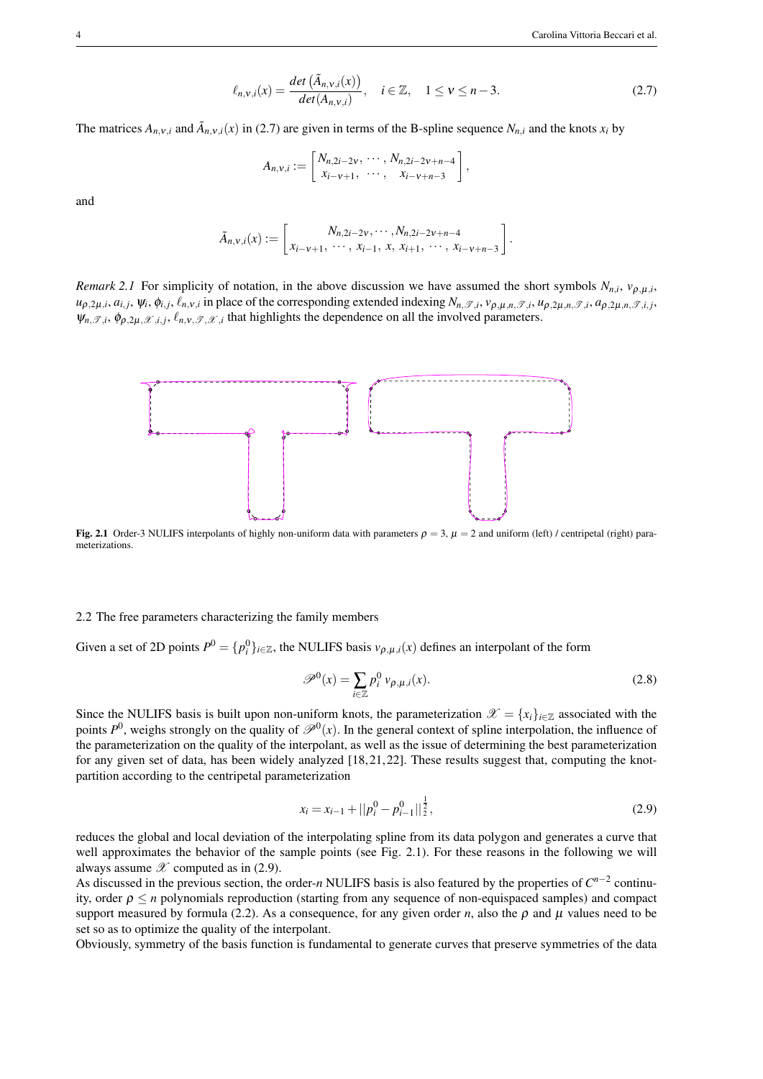$$
\ell_{n,v,i}(x) = \frac{\det\left(\tilde{A}_{n,v,i}(x)\right)}{\det(A_{n,v,i})}, \quad i \in \mathbb{Z}, \quad 1 \le v \le n-3. \tag{2.7}
$$

The matrices  $A_{n,v,i}$  and  $\tilde{A}_{n,v,i}(x)$  in (2.7) are given in terms of the B-spline sequence  $N_{n,i}$  and the knots  $x_i$  by

$$
A_{n,v,i} := \begin{bmatrix} N_{n,2i-2v}, \cdots, N_{n,2i-2v+n-4} \\ x_{i-v+1}, \cdots, x_{i-v+n-3} \end{bmatrix},
$$

and

$$
\tilde{A}_{n,v,i}(x) := \begin{bmatrix} N_{n,2i-2v}, \cdots, N_{n,2i-2v+n-4} \\ x_{i-v+1}, \cdots, x_{i-1}, x, x_{i+1}, \cdots, x_{i-v+n-3} \end{bmatrix}.
$$

*Remark 2.1* For simplicity of notation, in the above discussion we have assumed the short symbols  $N_{n,i}$ ,  $v_{\rho,\mu,i}$ ,  $u_{\rho,2\mu,i}, a_{i,j}, \psi_i, \phi_{i,j}, \ell_{n,v,i}$  in place of the corresponding extended indexing  $N_{n,\mathcal{T},i}, v_{\rho,\mu,n,\mathcal{T},i}, u_{\rho,2\mu,n,\mathcal{T},i}, a_{\rho,2\mu,n,\mathcal{T},i,j}$  $\psi_{n,\mathcal{T},i}, \phi_{\rho,2\mu,\mathcal{X},i,j}, \ell_{n,v,\mathcal{T},\mathcal{X},i}$  that highlights the dependence on all the involved parameters.



Fig. 2.1 Order-3 NULIFS interpolants of highly non-uniform data with parameters  $\rho = 3$ ,  $\mu = 2$  and uniform (left) / centripetal (right) parameterizations.

#### 2.2 The free parameters characterizing the family members

Given a set of 2D points  $P^0 = \{p_i^0\}_{i \in \mathbb{Z}}$ , the NULIFS basis  $v_{p,\mu,i}(x)$  defines an interpolant of the form

$$
\mathscr{P}^0(x) = \sum_{i \in \mathbb{Z}} p_i^0 \, \nu_{\rho,\mu,i}(x). \tag{2.8}
$$

Since the NULIFS basis is built upon non-uniform knots, the parameterization  $\mathscr{X} = \{x_i\}_{i \in \mathbb{Z}}$  associated with the points  $P^0$ , weighs strongly on the quality of  $\mathscr{P}^0(x)$ . In the general context of spline interpolation, the influence of the parameterization on the quality of the interpolant, as well as the issue of determining the best parameterization for any given set of data, has been widely analyzed [18, 21, 22]. These results suggest that, computing the knotpartition according to the centripetal parameterization

$$
x_i = x_{i-1} + ||p_i^0 - p_{i-1}^0||_2^{\frac{1}{2}},
$$
\n(2.9)

reduces the global and local deviation of the interpolating spline from its data polygon and generates a curve that well approximates the behavior of the sample points (see Fig. 2.1). For these reasons in the following we will always assume  $\mathscr X$  computed as in (2.9).

As discussed in the previous section, the order-*n* NULIFS basis is also featured by the properties of  $C^{n-2}$  continuity, order ρ *≤ n* polynomials reproduction (starting from any sequence of non-equispaced samples) and compact support measured by formula (2.2). As a consequence, for any given order *n*, also the  $\rho$  and  $\mu$  values need to be set so as to optimize the quality of the interpolant.

Obviously, symmetry of the basis function is fundamental to generate curves that preserve symmetries of the data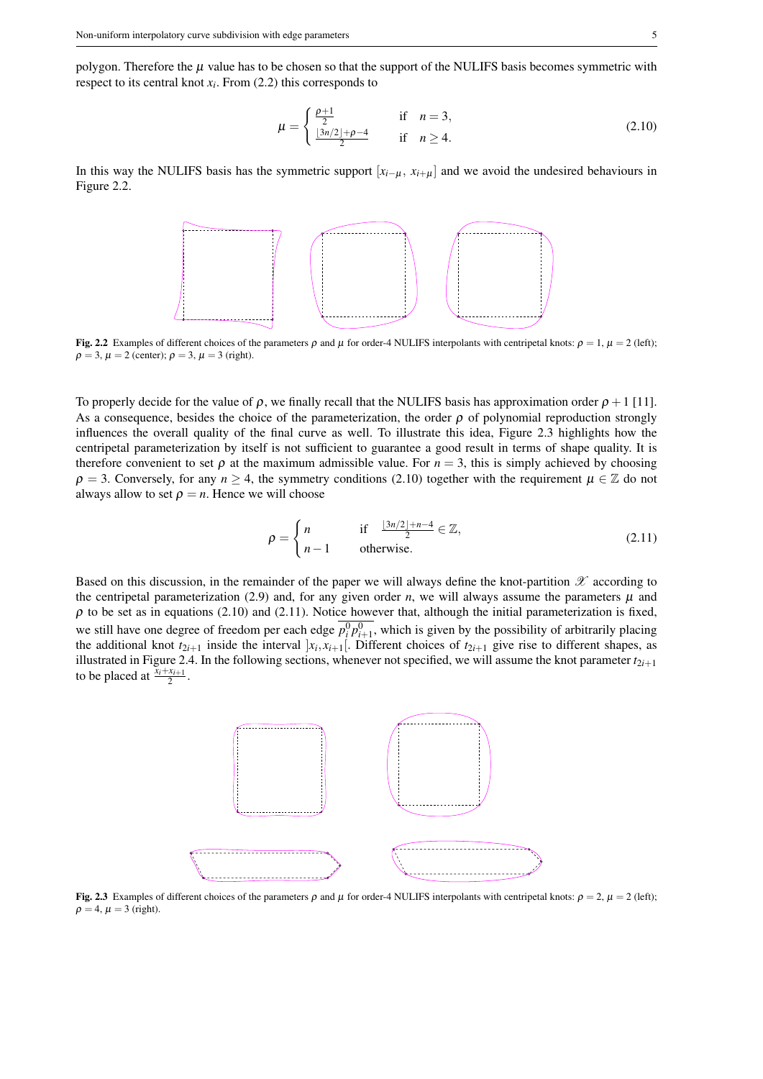polygon. Therefore the  $\mu$  value has to be chosen so that the support of the NULIFS basis becomes symmetric with respect to its central knot  $x_i$ . From  $(2.2)$  this corresponds to

$$
\mu = \begin{cases} \frac{\rho + 1}{2} & \text{if } n = 3, \\ \frac{|3n/2| + \rho - 4}{2} & \text{if } n \ge 4. \end{cases}
$$
 (2.10)

In this way the NULIFS basis has the symmetric support  $[x_i, x_i, u_i]$  and we avoid the undesired behaviours in Figure 2.2.



**Fig. 2.2** Examples of different choices of the parameters  $ρ$  and  $μ$  for order-4 NULIFS interpolants with centripetal knots:  $ρ = 1, μ = 2$  (left);  $\rho = 3, \mu = 2$  (center);  $\rho = 3, \mu = 3$  (right).

To properly decide for the value of  $\rho$ , we finally recall that the NULIFS basis has approximation order  $\rho + 1$  [11]. As a consequence, besides the choice of the parameterization, the order  $\rho$  of polynomial reproduction strongly influences the overall quality of the final curve as well. To illustrate this idea, Figure 2.3 highlights how the centripetal parameterization by itself is not sufficient to guarantee a good result in terms of shape quality. It is therefore convenient to set  $\rho$  at the maximum admissible value. For  $n = 3$ , this is simply achieved by choosing  $\rho = 3$ . Conversely, for any  $n \ge 4$ , the symmetry conditions (2.10) together with the requirement  $\mu \in \mathbb{Z}$  do not always allow to set  $\rho = n$ . Hence we will choose

$$
\rho = \begin{cases}\nn & \text{if } \frac{\lfloor 3n/2 \rfloor + n - 4}{2} \in \mathbb{Z}, \\
n - 1 & \text{otherwise.} \n\end{cases}
$$
\n(2.11)

Based on this discussion, in the remainder of the paper we will always define the knot-partition  $\mathscr X$  according to the centripetal parameterization (2.9) and, for any given order *n*, we will always assume the parameters  $\mu$  and  $\rho$  to be set as in equations (2.10) and (2.11). Notice however that, although the initial parameterization is fixed, we still have one degree of freedom per each edge  $p_i^0 p_{i+1}^0$ , which is given by the possibility of arbitrarily placing the additional knot  $t_{2i+1}$  inside the interval  $x_i, x_{i+1}$ . Different choices of  $t_{2i+1}$  give rise to different shapes, as illustrated in Figure 2.4. In the following sections, whenever not specified, we will assume the knot parameter  $t_{2i+1}$ to be placed at  $\frac{\bar{x}_i + x_{i+1}}{2}$ .



**Fig. 2.3** Examples of different choices of the parameters  $ρ$  and  $μ$  for order-4 NULIFS interpolants with centripetal knots:  $ρ = 2$ ,  $μ = 2$  (left);  $\rho = 4$ ,  $\mu = 3$  (right).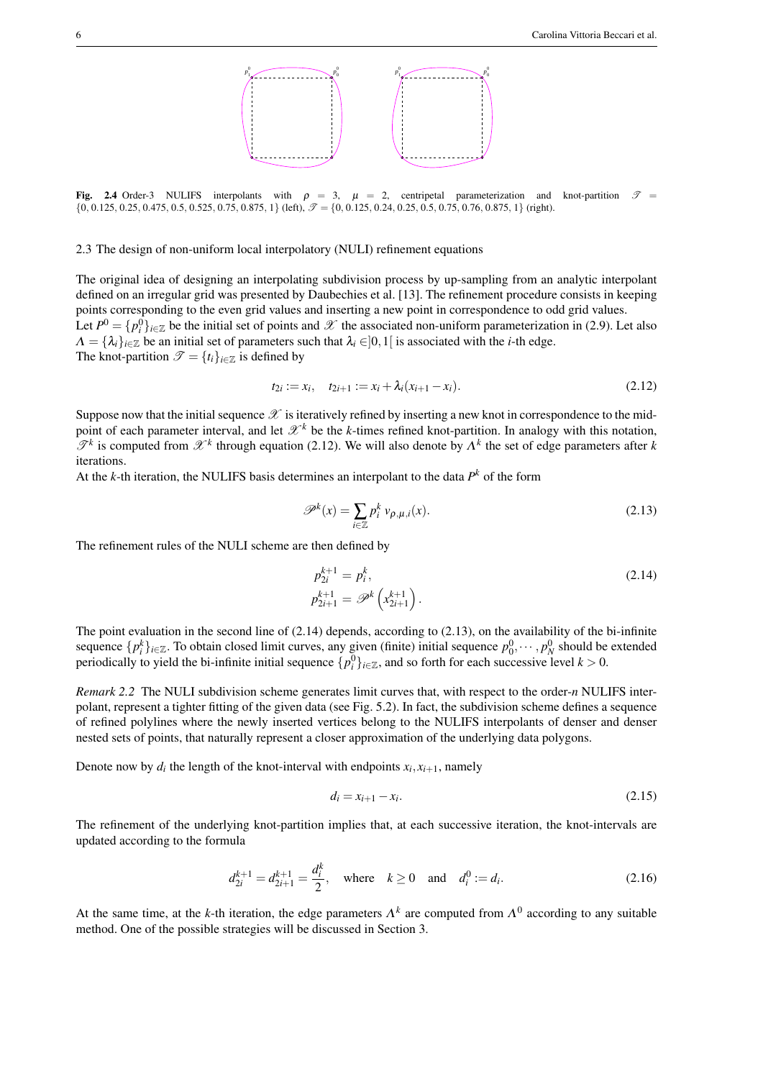

Fig. 2.4 Order-3 NULIFS interpolants with  $\rho = 3$ ,  $\mu = 2$ , centripetal parameterization and knot-partition  $\mathscr{T} =$  $\{0, 0.125, 0.25, 0.475, 0.5, 0.525, 0.75, 0.875, 1\}$  (left),  $\mathcal{F} = \{0, 0.125, 0.24, 0.25, 0.5, 0.75, 0.76, 0.875, 1\}$  (right).

2.3 The design of non-uniform local interpolatory (NULI) refinement equations

The original idea of designing an interpolating subdivision process by up-sampling from an analytic interpolant defined on an irregular grid was presented by Daubechies et al. [13]. The refinement procedure consists in keeping points corresponding to the even grid values and inserting a new point in correspondence to odd grid values. Let  $P^0 = \{p_i^0\}_{i \in \mathbb{Z}}$  be the initial set of points and  $\mathcal X$  the associated non-uniform parameterization in (2.9). Let also  $\Lambda = {\lambda_i}_{i \in \mathbb{Z}}$  be an initial set of parameters such that  $\lambda_i \in ]0,1[$  is associated with the *i*-th edge. The knot-partition  $\mathscr{T} = \{t_i\}_{i \in \mathbb{Z}}$  is defined by

$$
t_{2i} := x_i, \quad t_{2i+1} := x_i + \lambda_i (x_{i+1} - x_i). \tag{2.12}
$$

Suppose now that the initial sequence  $\mathscr X$  is iteratively refined by inserting a new knot in correspondence to the midpoint of each parameter interval, and let  $\mathcal{X}^k$  be the *k*-times refined knot-partition. In analogy with this notation,  $\mathscr{T}^k$  is computed from  $\mathscr{X}^k$  through equation (2.12). We will also denote by  $\Lambda^k$  the set of edge parameters after *k* iterations.

At the *k*-th iteration, the NULIFS basis determines an interpolant to the data  $P^k$  of the form

$$
\mathscr{P}^k(x) = \sum_{i \in \mathbb{Z}} p_i^k \, \nu_{\rho,\mu,i}(x). \tag{2.13}
$$

The refinement rules of the NULI scheme are then defined by

$$
p_{2i}^{k+1} = p_i^k,
$$
  
\n
$$
p_{2i+1}^{k+1} = \mathscr{P}^k \left( x_{2i+1}^{k+1} \right).
$$
\n(2.14)

The point evaluation in the second line of (2.14) depends, according to (2.13), on the availability of the bi-infinite sequence  $\{p_i^k\}_{i\in\mathbb{Z}}$ . To obtain closed limit curves, any given (finite) initial sequence  $p_0^0, \dots, p_N^0$  should be extended periodically to yield the bi-infinite initial sequence  $\{p_i^0\}_{i \in \mathbb{Z}}$ , and so forth for each successive level  $k > 0$ .

*Remark 2.2* The NULI subdivision scheme generates limit curves that, with respect to the order-*n* NULIFS interpolant, represent a tighter fitting of the given data (see Fig. 5.2). In fact, the subdivision scheme defines a sequence of refined polylines where the newly inserted vertices belong to the NULIFS interpolants of denser and denser nested sets of points, that naturally represent a closer approximation of the underlying data polygons.

Denote now by  $d_i$  the length of the knot-interval with endpoints  $x_i, x_{i+1}$ , namely

$$
d_i = x_{i+1} - x_i. \t\t(2.15)
$$

The refinement of the underlying knot-partition implies that, at each successive iteration, the knot-intervals are updated according to the formula

$$
d_{2i}^{k+1} = d_{2i+1}^{k+1} = \frac{d_i^k}{2}, \quad \text{where} \quad k \ge 0 \quad \text{and} \quad d_i^0 := d_i. \tag{2.16}
$$

At the same time, at the *k*-th iteration, the edge parameters  $\Lambda^k$  are computed from  $\Lambda^0$  according to any suitable method. One of the possible strategies will be discussed in Section 3.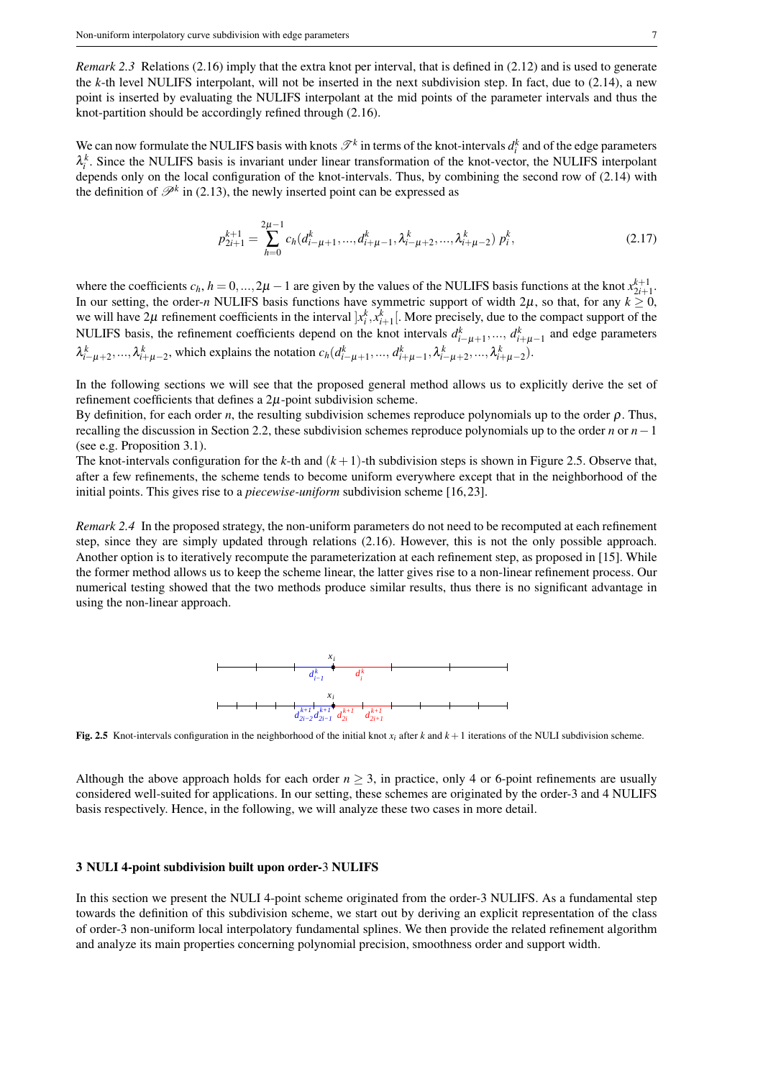*Remark 2.3* Relations (2.16) imply that the extra knot per interval, that is defined in (2.12) and is used to generate the *k*-th level NULIFS interpolant, will not be inserted in the next subdivision step. In fact, due to (2.14), a new point is inserted by evaluating the NULIFS interpolant at the mid points of the parameter intervals and thus the knot-partition should be accordingly refined through (2.16).

We can now formulate the NULIFS basis with knots  $\mathcal{T}^k$  in terms of the knot-intervals  $d_i^k$  and of the edge parameters  $\lambda_i^k$ . Since the NULIFS basis is invariant under linear transformation of the knot-vector, the NULIFS interpolant depends only on the local configuration of the knot-intervals. Thus, by combining the second row of (2.14) with the definition of  $\mathscr{P}^k$  in (2.13), the newly inserted point can be expressed as

$$
p_{2i+1}^{k+1} = \sum_{h=0}^{2\mu-1} c_h(d_{i-\mu+1}^k, ..., d_{i+\mu-1}^k, \lambda_{i-\mu+2}^k, ..., \lambda_{i+\mu-2}^k) p_i^k, \tag{2.17}
$$

where the coefficients  $c_h$ ,  $h = 0, ..., 2\mu - 1$  are given by the values of the NULIFS basis functions at the knot  $x_{2i+1}^{k+1}$ . In our setting, the order-*n* NULIFS basis functions have symmetric support of width  $2\mu$ , so that, for any  $k \ge 0$ , we will have  $2\mu$  refinement coefficients in the interval  $x_i^k, x_{i+1}^k$ . More precisely, due to the compact support of the NULIFS basis, the refinement coefficients depend on the knot intervals  $d_{i-\mu+1}^k, ..., d_{i+\mu-1}^k$  and edge parameters  $\lambda_{i-\mu+2}^k, ..., \lambda_{i+\mu-2}^k$ , which explains the notation  $c_h(d_{i-\mu+1}^k, ..., d_{i+\mu-1}^k, \lambda_{i-\mu+2}^k, ..., \lambda_{i+\mu-2}^k)$ .

In the following sections we will see that the proposed general method allows us to explicitly derive the set of refinement coefficients that defines a  $2\mu$ -point subdivision scheme.

By definition, for each order *n*, the resulting subdivision schemes reproduce polynomials up to the order ρ. Thus, recalling the discussion in Section 2.2, these subdivision schemes reproduce polynomials up to the order *n* or *n−*1 (see e.g. Proposition 3.1).

The knot-intervals configuration for the  $k$ -th and  $(k+1)$ -th subdivision steps is shown in Figure 2.5. Observe that, after a few refinements, the scheme tends to become uniform everywhere except that in the neighborhood of the initial points. This gives rise to a *piecewise-uniform* subdivision scheme [16, 23].

*Remark 2.4* In the proposed strategy, the non-uniform parameters do not need to be recomputed at each refinement step, since they are simply updated through relations (2.16). However, this is not the only possible approach. Another option is to iteratively recompute the parameterization at each refinement step, as proposed in [15]. While the former method allows us to keep the scheme linear, the latter gives rise to a non-linear refinement process. Our numerical testing showed that the two methods produce similar results, thus there is no significant advantage in using the non-linear approach.



Fig. 2.5 Knot-intervals configuration in the neighborhood of the initial knot  $x_i$  after  $k$  and  $k+1$  iterations of the NULI subdivision scheme.

Although the above approach holds for each order  $n \geq 3$ , in practice, only 4 or 6-point refinements are usually considered well-suited for applications. In our setting, these schemes are originated by the order-3 and 4 NULIFS basis respectively. Hence, in the following, we will analyze these two cases in more detail.

#### 3 NULI 4-point subdivision built upon order-3 NULIFS

In this section we present the NULI 4-point scheme originated from the order-3 NULIFS. As a fundamental step towards the definition of this subdivision scheme, we start out by deriving an explicit representation of the class of order-3 non-uniform local interpolatory fundamental splines. We then provide the related refinement algorithm and analyze its main properties concerning polynomial precision, smoothness order and support width.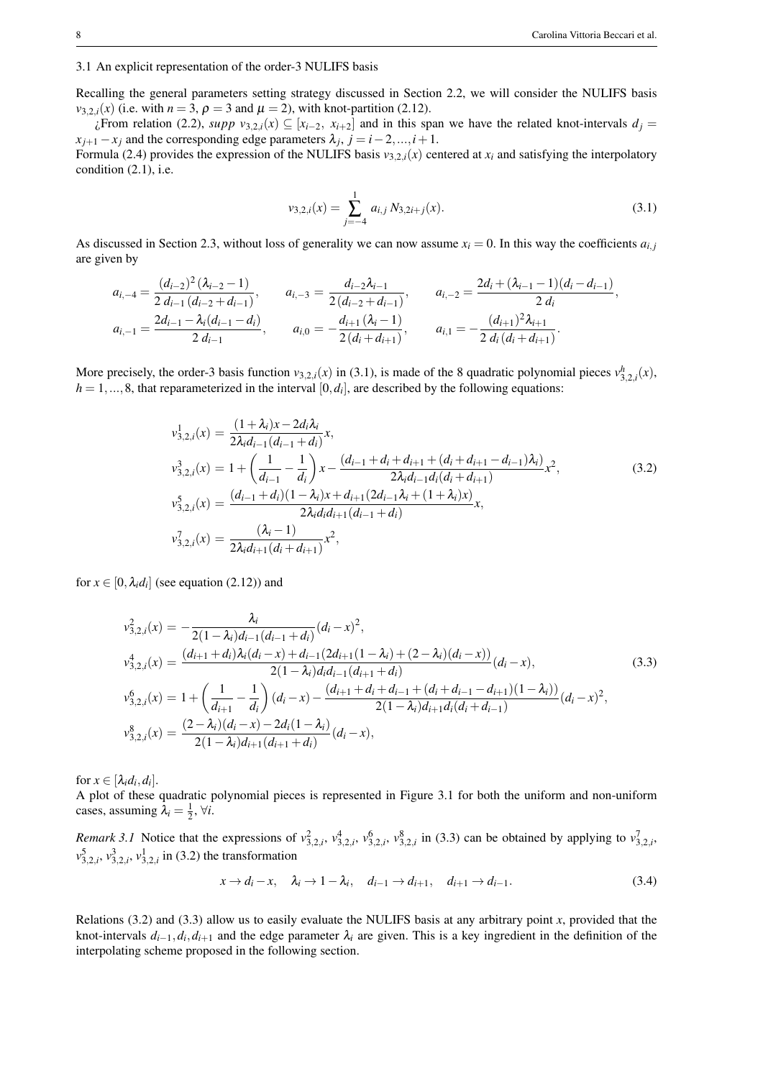#### 3.1 An explicit representation of the order-3 NULIFS basis

Recalling the general parameters setting strategy discussed in Section 2.2, we will consider the NULIFS basis  $v_{3,2,i}(x)$  (i.e. with  $n = 3$ ,  $\rho = 3$  and  $\mu = 2$ ), with knot-partition (2.12).

*i*, From relation (2.2), *supp*  $v_{3,2,i}(x)$  ⊆ [ $x_{i-2}, x_{i+2}$ ] and in this span we have the related knot-intervals  $d_i =$  $x_{j+1} - x_j$  and the corresponding edge parameters  $\lambda_j$ ,  $j = i-2, ..., i+1$ .

Formula (2.4) provides the expression of the NULIFS basis  $v_{3,2,i}(x)$  centered at  $x_i$  and satisfying the interpolatory condition (2.1), i.e.

$$
\nu_{3,2,i}(x) = \sum_{j=-4}^{1} a_{i,j} N_{3,2i+j}(x). \tag{3.1}
$$

As discussed in Section 2.3, without loss of generality we can now assume  $x_i = 0$ . In this way the coefficients  $a_{i,j}$ are given by

$$
a_{i,-4} = \frac{(d_{i-2})^2 (\lambda_{i-2} - 1)}{2 d_{i-1} (d_{i-2} + d_{i-1})}, \qquad a_{i,-3} = \frac{d_{i-2} \lambda_{i-1}}{2 (d_{i-2} + d_{i-1})}, \qquad a_{i,-2} = \frac{2d_i + (\lambda_{i-1} - 1)(d_i - d_{i-1})}{2 d_i},
$$
  

$$
a_{i,-1} = \frac{2d_{i-1} - \lambda_i (d_{i-1} - d_i)}{2 d_{i-1}}, \qquad a_{i,0} = -\frac{d_{i+1} (\lambda_i - 1)}{2 (d_i + d_{i+1})}, \qquad a_{i,1} = -\frac{(d_{i+1})^2 \lambda_{i+1}}{2 d_i (d_i + d_{i+1})}.
$$

More precisely, the order-3 basis function  $v_{3,2,i}(x)$  in (3.1), is made of the 8 quadratic polynomial pieces  $v_{3,2,i}^h(x)$ ,  $h = 1, \ldots, 8$ , that reparameterized in the interval  $[0, d_i]$ , are described by the following equations:

$$
v_{3,2,i}^{1}(x) = \frac{(1+\lambda_{i})x - 2d_{i}\lambda_{i}}{2\lambda_{i}d_{i-1}(d_{i-1} + d_{i})}x,
$$
  
\n
$$
v_{3,2,i}^{3}(x) = 1 + \left(\frac{1}{d_{i-1}} - \frac{1}{d_{i}}\right)x - \frac{(d_{i-1} + d_{i} + d_{i+1} + (d_{i} + d_{i+1} - d_{i-1})\lambda_{i})}{2\lambda_{i}d_{i-1}d_{i}(d_{i} + d_{i+1})}x^{2},
$$
  
\n
$$
v_{3,2,i}^{5}(x) = \frac{(d_{i-1} + d_{i})(1-\lambda_{i})x + d_{i+1}(2d_{i-1}\lambda_{i} + (1+\lambda_{i})x)}{2\lambda_{i}d_{i}d_{i+1}(d_{i-1} + d_{i})}x,
$$
  
\n
$$
v_{3,2,i}^{7}(x) = \frac{(\lambda_{i}-1)}{2\lambda_{i}d_{i+1}(d_{i} + d_{i+1})}x^{2},
$$
\n(3.2)

for  $x \in [0, \lambda_i d_i]$  (see equation (2.12)) and

$$
\nu_{3,2,i}^{2}(x) = -\frac{\lambda_{i}}{2(1-\lambda_{i})d_{i-1}(d_{i-1}+d_{i})}(d_{i}-x)^{2},
$$
\n
$$
\nu_{3,2,i}^{4}(x) = \frac{(d_{i+1}+d_{i})\lambda_{i}(d_{i}-x)+d_{i-1}(2d_{i+1}(1-\lambda_{i})+(2-\lambda_{i})(d_{i}-x))}{2(1-\lambda_{i})d_{i}d_{i-1}(d_{i+1}+d_{i})}(d_{i}-x),
$$
\n
$$
\nu_{3,2,i}^{6}(x) = 1 + \left(\frac{1}{d_{i+1}} - \frac{1}{d_{i}}\right)(d_{i}-x) - \frac{(d_{i+1}+d_{i}+d_{i-1}+(d_{i}+d_{i-1}-d_{i+1})(1-\lambda_{i}))}{2(1-\lambda_{i})d_{i+1}d_{i}(d_{i}+d_{i-1})}(d_{i}-x)^{2},
$$
\n
$$
\nu_{3,2,i}^{8}(x) = \frac{(2-\lambda_{i})(d_{i}-x) - 2d_{i}(1-\lambda_{i})}{2(1-\lambda_{i})d_{i+1}(d_{i+1}+d_{i})}(d_{i}-x),
$$
\n(3.3)

for  $x \in [\lambda_i d_i, d_i]$ .

A plot of these quadratic polynomial pieces is represented in Figure 3.1 for both the uniform and non-uniform cases, assuming  $\lambda_i = \frac{1}{2}, \forall i$ .

*Remark 3.1* Notice that the expressions of  $v_{3,2,i}^2$ ,  $v_{3,2,i}^4$ ,  $v_{3,2,i}^6$ ,  $v_{3,2,i}^8$  in (3.3) can be obtained by applying to  $v_{3,2,i}^7$ ,  $v_{3,2,i}^5$ ,  $v_{3,2,i}^3$ ,  $v_{3,2,i}^1$  in (3.2) the transformation

$$
x \to d_i - x, \quad \lambda_i \to 1 - \lambda_i, \quad d_{i-1} \to d_{i+1}, \quad d_{i+1} \to d_{i-1}.
$$

Relations (3.2) and (3.3) allow us to easily evaluate the NULIFS basis at any arbitrary point *x*, provided that the knot-intervals  $d_{i-1}, d_i, d_{i+1}$  and the edge parameter  $\lambda_i$  are given. This is a key ingredient in the definition of the interpolating scheme proposed in the following section.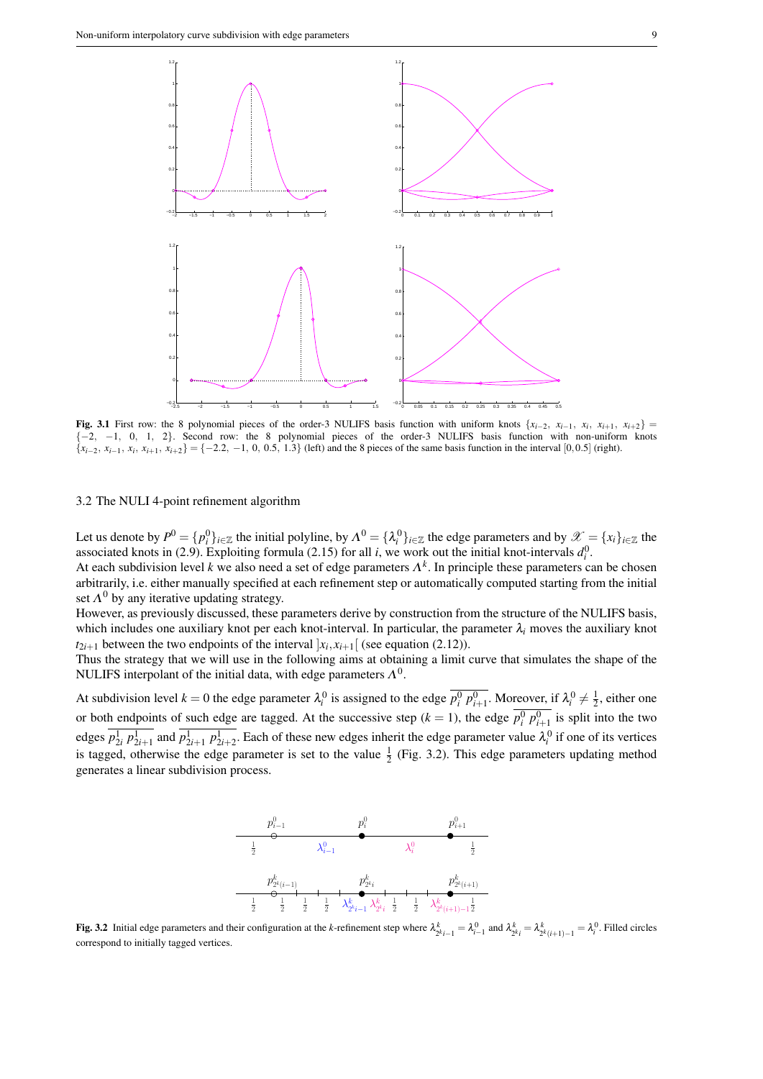

**Fig. 3.1** First row: the 8 polynomial pieces of the order-3 NULIFS basis function with uniform knots  $\{x_{i-2}, x_{i-1}, x_i, x_{i+1}, x_{i+2}\}$ *{−*2*, −*1*,* 0*,* 1*,* 2*}*. Second row: the 8 polynomial pieces of the order-3 NULIFS basis function with non-uniform knots  ${x_{i-2}, x_{i-1}, x_i, x_{i+1}, x_{i+2}} =$  {-2.2, -1, 0, 0.5, 1.3} (left) and the 8 pieces of the same basis function in the interval [0, 0.5] (right).

3.2 The NULI 4-point refinement algorithm

Let us denote by  $P^0 = \{p_i^0\}_{i \in \mathbb{Z}}$  the initial polyline, by  $\Lambda^0 = \{\lambda_i^0\}_{i \in \mathbb{Z}}$  the edge parameters and by  $\mathscr{X} = \{x_i\}_{i \in \mathbb{Z}}$  the associated knots in (2.9). Exploiting formula (2.15) for all *i*, we work out the initial knot-intervals  $d_i^0$ .

At each subdivision level *k* we also need a set of edge parameters  $\Lambda^k$ . In principle these parameters can be chosen arbitrarily, i.e. either manually specified at each refinement step or automatically computed starting from the initial set  $\Lambda^0$  by any iterative updating strategy.

However, as previously discussed, these parameters derive by construction from the structure of the NULIFS basis, which includes one auxiliary knot per each knot-interval. In particular, the parameter  $\lambda_i$  moves the auxiliary knot  $t_{2i+1}$  between the two endpoints of the interval  $x_i, x_{i+1}$  (see equation (2.12)).

Thus the strategy that we will use in the following aims at obtaining a limit curve that simulates the shape of the NULIFS interpolant of the initial data, with edge parameters  $\Lambda^0$ .

At subdivision level  $k = 0$  the edge parameter  $\lambda_i^0$  is assigned to the edge  $p_i^0$   $p_{i+1}^0$ . Moreover, if  $\lambda_i^0 \neq \frac{1}{2}$ , either one or both endpoints of such edge are tagged. At the successive step  $(k = 1)$ , the edge  $p_i^0$   $p_{i+1}^0$  is split into the two edges  $p_{2i}^1$   $p_{2i+1}^1$  and  $p_{2i+1}^1$   $p_{2i+2}^1$ . Each of these new edges inherit the edge parameter value  $\lambda_i^0$  if one of its vertices is tagged, otherwise the edge parameter is set to the value  $\frac{1}{2}$  (Fig. 3.2). This edge parameters updating method generates a linear subdivision process.



**Fig. 3.2** Initial edge parameters and their configuration at the k-refinement step where  $\lambda_{2k_{i-1}}^k = \lambda_{i-1}^0$  and  $\lambda_{2k_i}^k = \lambda_{2k(i+1)-1}^k = \lambda_i^0$ . Filled circles correspond to initially tagged vertices.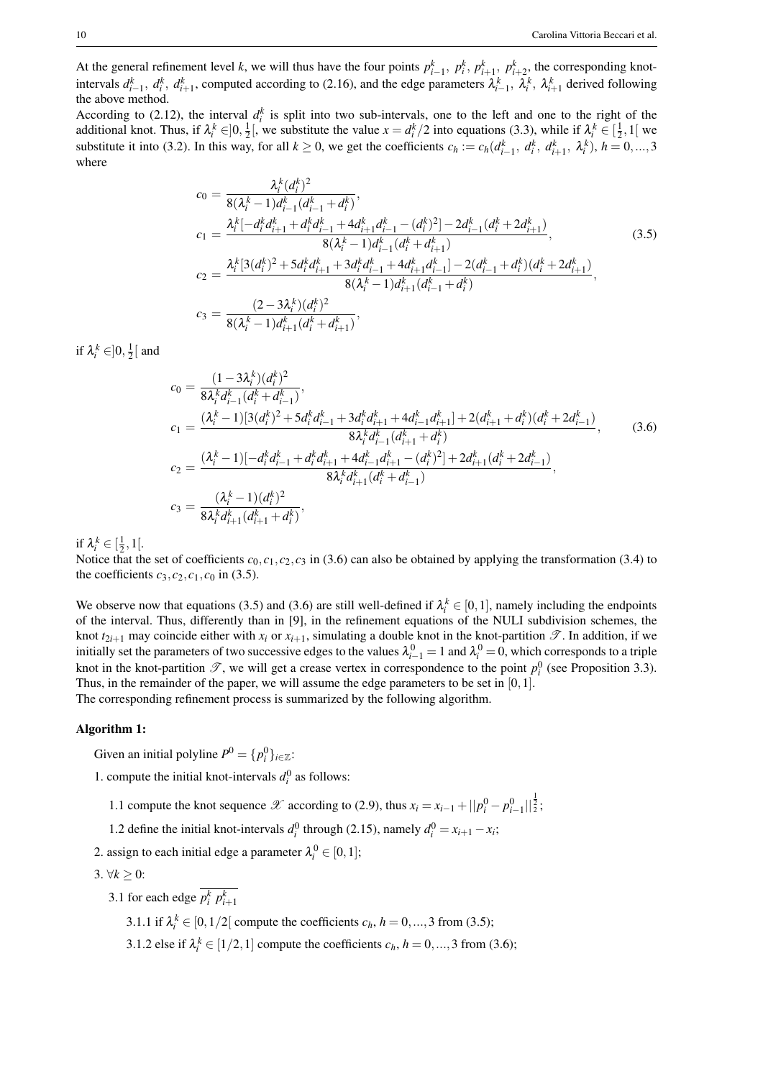At the general refinement level k, we will thus have the four points  $p_{i-1}^k$ ,  $p_i^k$ ,  $p_{i+1}^k$ ,  $p_{i+2}^k$ , the corresponding knotintervals  $d_{i-1}^k$ ,  $d_i^k$ ,  $d_{i+1}^k$ , computed according to (2.16), and the edge parameters  $\lambda_{i-1}^k$ ,  $\lambda_i^k$ ,  $\lambda_{i+1}^k$  derived following the above method.

According to (2.12), the interval  $d_i^k$  is split into two sub-intervals, one to the left and one to the right of the additional knot. Thus, if  $\lambda_i^k \in ]0, \frac{1}{2}[,$  we substitute the value  $x = d_i^k/2$  into equations (3.3), while if  $\lambda_i^k \in [\frac{1}{2}, 1]$  we substitute it into (3.2). In this way, for all  $k \ge 0$ , we get the coefficients  $c_h := c_h(d_{i-1}^k, d_i^k, d_{i+1}^k, \lambda_i^k)$ ,  $h = 0, ..., 3$ where

$$
c_{0} = \frac{\lambda_{i}^{k}(d_{i}^{k})^{2}}{8(\lambda_{i}^{k}-1)d_{i-1}^{k}(d_{i-1}^{k}+d_{i}^{k})},
$$
\n
$$
c_{1} = \frac{\lambda_{i}^{k}[-d_{i}^{k}d_{i+1}^{k}+d_{i}^{k}d_{i-1}^{k}+4d_{i+1}^{k}d_{i-1}^{k}-(d_{i}^{k})^{2}]-2d_{i-1}^{k}(d_{i}^{k}+2d_{i+1}^{k})}{8(\lambda_{i}^{k}-1)d_{i-1}^{k}(d_{i}^{k}+d_{i+1}^{k})},
$$
\n
$$
c_{2} = \frac{\lambda_{i}^{k}[3(d_{i}^{k})^{2}+5d_{i}^{k}d_{i+1}^{k}+3d_{i}^{k}d_{i-1}^{k}+4d_{i+1}^{k}d_{i-1}^{k}]-2(d_{i-1}^{k}+d_{i}^{k})(d_{i}^{k}+2d_{i+1}^{k})}{8(\lambda_{i}^{k}-1)d_{i+1}^{k}(d_{i-1}^{k}+d_{i}^{k})},
$$
\n
$$
c_{3} = \frac{(2-3\lambda_{i}^{k})(d_{i}^{k})^{2}}{8(\lambda_{i}^{k}-1)d_{i+1}^{k}(d_{i}^{k}+d_{i+1}^{k})},
$$
\n(3.5)

if  $\lambda_i^k \in ]0, \frac{1}{2}[$  and

$$
c_{0} = \frac{(1 - 3\lambda_{i}^{k})(d_{i}^{k})^{2}}{8\lambda_{i}^{k}d_{i-1}^{k}(d_{i}^{k} + d_{i-1}^{k})},
$$
  
\n
$$
c_{1} = \frac{(\lambda_{i}^{k} - 1)[3(d_{i}^{k})^{2} + 5d_{i}^{k}d_{i-1}^{k} + 3d_{i}^{k}d_{i+1}^{k} + 4d_{i-1}^{k}d_{i+1}^{k}] + 2(d_{i+1}^{k} + d_{i}^{k})(d_{i}^{k} + 2d_{i-1}^{k})}{8\lambda_{i}^{k}d_{i-1}^{k}(d_{i+1}^{k} + d_{i}^{k})},
$$
  
\n
$$
c_{2} = \frac{(\lambda_{i}^{k} - 1)[-d_{i}^{k}d_{i-1}^{k} + d_{i}^{k}d_{i+1}^{k} + 4d_{i-1}^{k}d_{i+1}^{k} - (d_{i}^{k})^{2}] + 2d_{i+1}^{k}(d_{i}^{k} + 2d_{i-1}^{k})}{8\lambda_{i}^{k}d_{i+1}^{k}(d_{i}^{k} + d_{i-1}^{k})},
$$
  
\n
$$
c_{3} = \frac{(\lambda_{i}^{k} - 1)(d_{i}^{k})^{2}}{8\lambda_{i}^{k}d_{i+1}^{k}(d_{i+1}^{k} + d_{i}^{k})},
$$
  
\n(3.6)

if  $\lambda_i^k \in [\frac{1}{2}, 1[$ .

Notice that the set of coefficients  $c_0, c_1, c_2, c_3$  in (3.6) can also be obtained by applying the transformation (3.4) to the coefficients  $c_3$ ,  $c_2$ ,  $c_1$ ,  $c_0$  in (3.5).

We observe now that equations (3.5) and (3.6) are still well-defined if  $\lambda_i^k \in [0,1]$ , namely including the endpoints of the interval. Thus, differently than in [9], in the refinement equations of the NULI subdivision schemes, the knot  $t_{2i+1}$  may coincide either with  $x_i$  or  $x_{i+1}$ , simulating a double knot in the knot-partition  $\mathscr{T}$ . In addition, if we initially set the parameters of two successive edges to the values  $\lambda_{i-1}^0 = 1$  and  $\lambda_i^0 = 0$ , which corresponds to a triple knot in the knot-partition  $\mathscr{T}$ , we will get a crease vertex in correspondence to the point  $p_i^0$  (see Proposition 3.3). Thus, in the remainder of the paper, we will assume the edge parameters to be set in [0*,*1]. The corresponding refinement process is summarized by the following algorithm.

## Algorithm 1:

Given an initial polyline  $P^0 = \{p_i^0\}_{i \in \mathbb{Z}}$ :

- 1. compute the initial knot-intervals  $d_i^0$  as follows:
	- 1.1 compute the knot sequence  $\mathcal{X}$  according to (2.9), thus  $x_i = x_{i-1} + ||p_i^0 p_{i-1}^0||_2^{\frac{1}{2}}$ ;
	- 1.2 define the initial knot-intervals  $d_i^0$  through (2.15), namely  $d_i^0 = x_{i+1} x_i$ ;
- 2. assign to each initial edge a parameter  $\lambda_i^0 \in [0,1]$ ;
- 3.  $∀k ≥ 0$ :
	- 3.1 for each edge  $p_i^k p_{i+1}^k$

3.1.1 if  $\lambda_i^k \in [0, 1/2]$  compute the coefficients  $c_h$ ,  $h = 0, ..., 3$  from (3.5);

3.1.2 else if  $\lambda_i^k \in [1/2, 1]$  compute the coefficients  $c_h$ ,  $h = 0, ..., 3$  from (3.6);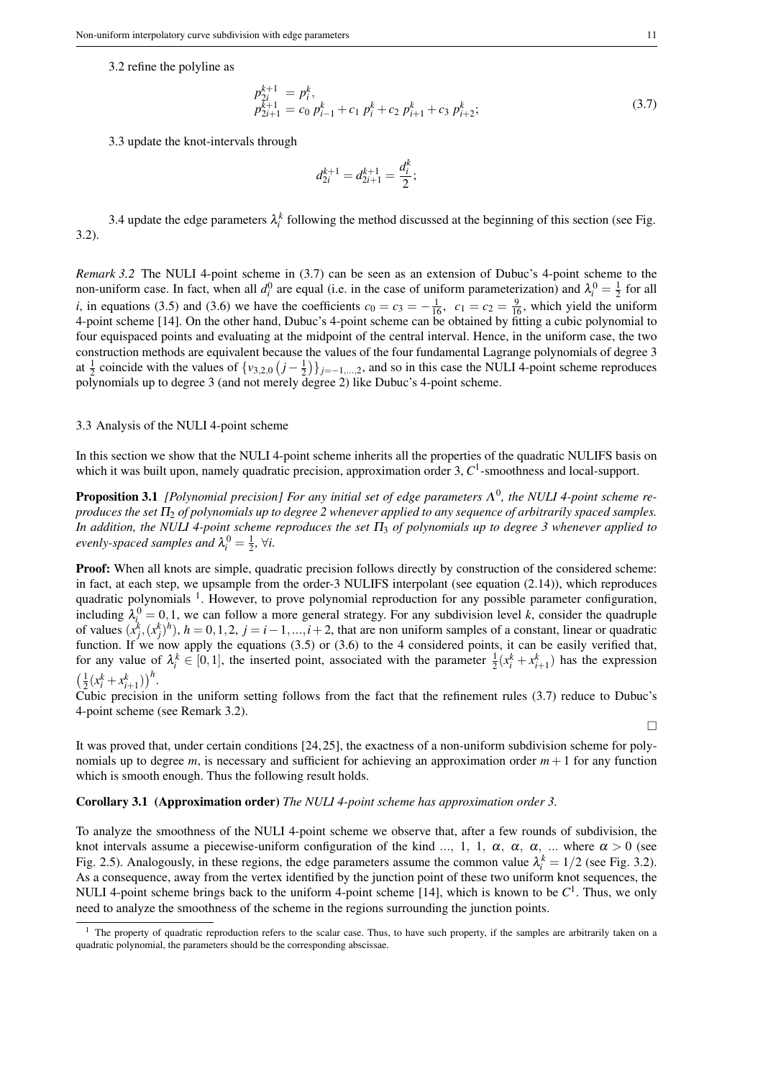3.2 refine the polyline as

$$
p_{2i}^{k+1} = p_i^k,
$$
  
\n
$$
p_{2i+1}^{k+1} = c_0 p_{i-1}^k + c_1 p_i^k + c_2 p_{i+1}^k + c_3 p_{i+2}^k;
$$
\n(3.7)

3.3 update the knot-intervals through

$$
d_{2i}^{k+1} = d_{2i+1}^{k+1} = \frac{d_i^k}{2};
$$

3.4 update the edge parameters  $\lambda_i^k$  following the method discussed at the beginning of this section (see Fig. 3.2).

*Remark 3.2* The NULI 4-point scheme in (3.7) can be seen as an extension of Dubuc's 4-point scheme to the non-uniform case. In fact, when all  $d_i^0$  are equal (i.e. in the case of uniform parameterization) and  $\lambda_i^0 = \frac{1}{2}$  for all *i*, in equations (3.5) and (3.6) we have the coefficients  $c_0 = c_3 = -\frac{1}{16}$ ,  $c_1 = c_2 = \frac{9}{16}$ , which yield the uniform 4-point scheme [14]. On the other hand, Dubuc's 4-point scheme can be obtained by fitting a cubic polynomial to four equispaced points and evaluating at the midpoint of the central interval. Hence, in the uniform case, the two construction methods are equivalent because the values of the four fundamental Lagrange polynomials of degree 3 at  $\frac{1}{2}$  coincide with the values of  $\{v_{3,2,0} (j - \frac{1}{2})\}_{j=-1,\dots,2}$ , and so in this case the NULI 4-point scheme reproduces polynomials up to degree 3 (and not merely degree 2) like Dubuc's 4-point scheme.

#### 3.3 Analysis of the NULI 4-point scheme

In this section we show that the NULI 4-point scheme inherits all the properties of the quadratic NULIFS basis on which it was built upon, namely quadratic precision, approximation order  $3, C<sup>1</sup>$ -smoothness and local-support.

**Proposition 3.1** [Polynomial precision] For any initial set of edge parameters Λ<sup>0</sup>, the NULI 4-point scheme re*produces the set* <sup>Π</sup><sup>2</sup> *of polynomials up to degree 2 whenever applied to any sequence of arbitrarily spaced samples. In addition, the NULI 4-point scheme reproduces the set* <sup>Π</sup><sup>3</sup> *of polynomials up to degree 3 whenever applied to evenly-spaced samples and*  $\lambda_i^0 = \frac{1}{2}$ ,  $\forall i$ .

**Proof:** When all knots are simple, quadratic precision follows directly by construction of the considered scheme: in fact, at each step, we upsample from the order-3 NULIFS interpolant (see equation (2.14)), which reproduces quadratic polynomials <sup>1</sup>. However, to prove polynomial reproduction for any possible parameter configuration, including  $\lambda_i^0 = 0, 1$ , we can follow a more general strategy. For any subdivision level k, consider the quadruple of values  $(x_j^k, (x_j^k)^h)$ ,  $h = 0, 1, 2, j = i - 1, ..., i + 2$ , that are non uniform samples of a constant, linear or quadratic function. If we now apply the equations  $(3.5)$  or  $(3.6)$  to the 4 considered points, it can be easily verified that, for any value of  $\lambda_i^k \in [0,1]$ , the inserted point, associated with the parameter  $\frac{1}{2}(x_i^k + x_{i+1}^k)$  has the expression  $\left(\frac{1}{2}(x_i^k + x_{i+1}^k)\right)^h$ .

Cubic precision in the uniform setting follows from the fact that the refinement rules (3.7) reduce to Dubuc's 4-point scheme (see Remark 3.2).

 $\Box$ 

It was proved that, under certain conditions [24, 25], the exactness of a non-uniform subdivision scheme for polynomials up to degree  $m$ , is necessary and sufficient for achieving an approximation order  $m + 1$  for any function which is smooth enough. Thus the following result holds.

#### Corollary 3.1 (Approximation order) *The NULI 4-point scheme has approximation order 3.*

To analyze the smoothness of the NULI 4-point scheme we observe that, after a few rounds of subdivision, the knot intervals assume a piecewise-uniform configuration of the kind ..., 1, 1,  $\alpha$ ,  $\alpha$ ,  $\alpha$ , ... where  $\alpha > 0$  (see Fig. 2.5). Analogously, in these regions, the edge parameters assume the common value  $\lambda_i^k = 1/2$  (see Fig. 3.2). As a consequence, away from the vertex identified by the junction point of these two uniform knot sequences, the NULI 4-point scheme brings back to the uniform 4-point scheme [14], which is known to be  $C^1$ . Thus, we only need to analyze the smoothness of the scheme in the regions surrounding the junction points.

<sup>&</sup>lt;sup>1</sup> The property of quadratic reproduction refers to the scalar case. Thus, to have such property, if the samples are arbitrarily taken on a quadratic polynomial, the parameters should be the corresponding abscissae.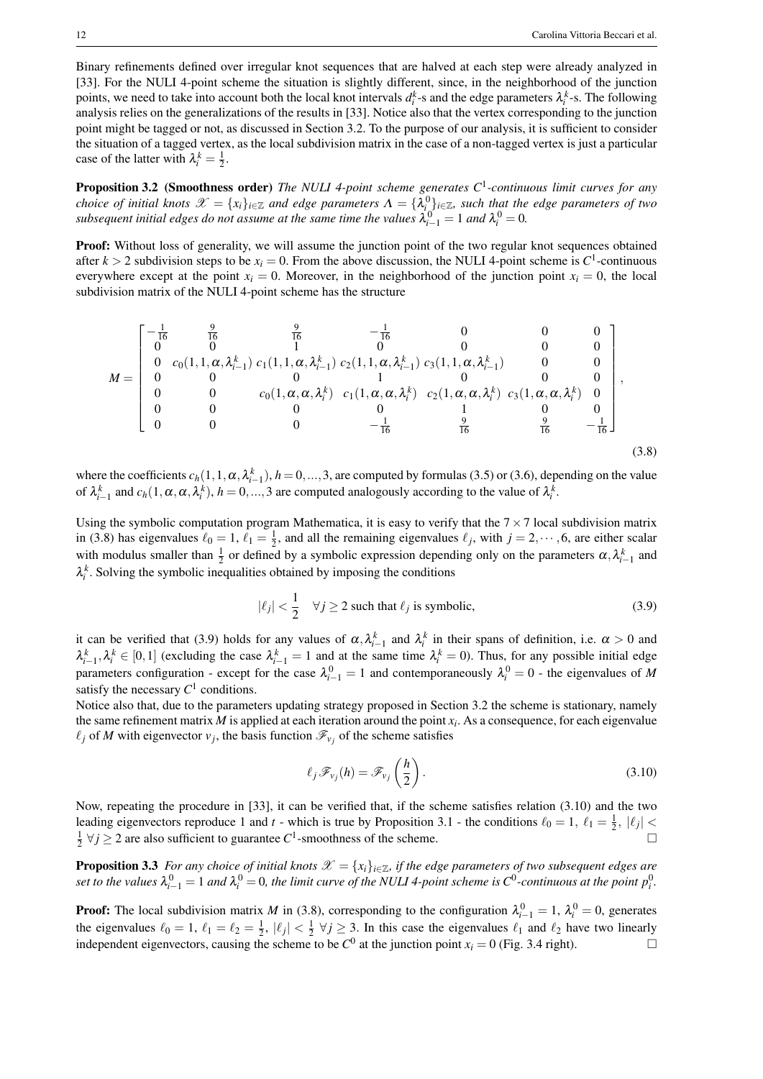Binary refinements defined over irregular knot sequences that are halved at each step were already analyzed in [33]. For the NULI 4-point scheme the situation is slightly different, since, in the neighborhood of the junction points, we need to take into account both the local knot intervals  $d_i^k$ -s and the edge parameters  $\lambda_i^k$ -s. The following analysis relies on the generalizations of the results in [33]. Notice also that the vertex corresponding to the junction point might be tagged or not, as discussed in Section 3.2. To the purpose of our analysis, it is sufficient to consider the situation of a tagged vertex, as the local subdivision matrix in the case of a non-tagged vertex is just a particular case of the latter with  $\lambda_i^k = \frac{1}{2}$ .

Proposition 3.2 (Smoothness order) *The NULI 4-point scheme generates C*<sup>1</sup> *-continuous limit curves for any choice of initial knots*  $\mathscr{X} = \{x_i\}_{i \in \mathbb{Z}}$  and edge parameters  $\Lambda = \{\lambda_i^0\}_{i \in \mathbb{Z}}$ , such that the edge parameters of two *subsequent initial edges do not assume at the same time the values*  $\lambda_{i-1}^0 = 1$  *and*  $\lambda_i^0 = 0$ *.* 

Proof: Without loss of generality, we will assume the junction point of the two regular knot sequences obtained after  $k > 2$  subdivision steps to be  $x_i = 0$ . From the above discussion, the NULI 4-point scheme is  $C^1$ -continuous everywhere except at the point  $x_i = 0$ . Moreover, in the neighborhood of the junction point  $x_i = 0$ , the local subdivision matrix of the NULI 4-point scheme has the structure

$$
M = \begin{bmatrix} -\frac{1}{16} & \frac{9}{16} & \frac{9}{16} & -\frac{1}{16} & 0 & 0 & 0\\ 0 & 0 & 1 & 0 & 0 & 0 & 0\\ 0 & c_0(1,1,\alpha,\lambda_{i-1}^k) & c_1(1,1,\alpha,\lambda_{i-1}^k) & c_2(1,1,\alpha,\lambda_{i-1}^k) & c_3(1,1,\alpha,\lambda_{i-1}^k) & 0 & 0\\ 0 & 0 & 0 & 1 & 0 & 0 & 0\\ 0 & 0 & c_0(1,\alpha,\alpha,\lambda_i^k) & c_1(1,\alpha,\alpha,\lambda_i^k) & c_2(1,\alpha,\alpha,\lambda_i^k) & c_3(1,\alpha,\alpha,\lambda_i^k) & 0\\ 0 & 0 & 0 & 0 & 1 & 0 & 0\\ 0 & 0 & 0 & -\frac{1}{16} & \frac{9}{16} & \frac{9}{16} & -\frac{1}{16} \end{bmatrix},
$$
\n(3.8)

where the coefficients  $c_h(1, 1, \alpha, \lambda_{i-1}^k)$ ,  $h = 0, ..., 3$ , are computed by formulas (3.5) or (3.6), depending on the value of  $\lambda_{i-1}^k$  and  $c_h(1, \alpha, \alpha, \lambda_i^k)$ ,  $h = 0, ..., 3$  are computed analogously according to the value of  $\lambda_i^k$ .

Using the symbolic computation program Mathematica, it is easy to verify that the 7*×*7 local subdivision matrix in (3.8) has eigenvalues  $\ell_0 = 1$ ,  $\ell_1 = \frac{1}{2}$ , and all the remaining eigenvalues  $\ell_j$ , with  $j = 2, \dots, 6$ , are either scalar with modulus smaller than  $\frac{1}{2}$  or defined by a symbolic expression depending only on the parameters  $\alpha$ ,  $\lambda_{i-1}^k$  and  $\lambda_i^k$ . Solving the symbolic inequalities obtained by imposing the conditions

$$
|\ell_j| < \frac{1}{2} \quad \forall j \ge 2 \text{ such that } \ell_j \text{ is symbolic,} \tag{3.9}
$$

it can be verified that (3.9) holds for any values of  $\alpha, \lambda_{i-1}^k$  and  $\lambda_i^k$  in their spans of definition, i.e.  $\alpha > 0$  and  $\lambda_i^k$ ,  $\lambda_i^k$   $\in$  [0, 1] (excluding the case  $\lambda_{i-1}^k = 1$  and at the same time  $\lambda_i^k = 0$ ). Thus, for any possible initial edge parameters configuration - except for the case  $\lambda_{i-1}^0 = 1$  and contemporaneously  $\lambda_i^0 = 0$  - the eigenvalues of *M* satisfy the necessary  $C^1$  conditions.

Notice also that, due to the parameters updating strategy proposed in Section 3.2 the scheme is stationary, namely the same refinement matrix  $M$  is applied at each iteration around the point  $x_i$ . As a consequence, for each eigenvalue  $\ell_j$  of *M* with eigenvector  $v_j$ , the basis function  $\mathcal{F}_{v_j}$  of the scheme satisfies

$$
\ell_j \mathscr{F}_{\nu_j}(h) = \mathscr{F}_{\nu_j}\left(\frac{h}{2}\right). \tag{3.10}
$$

Now, repeating the procedure in [33], it can be verified that, if the scheme satisfies relation (3.10) and the two leading eigenvectors reproduce 1 and *t* - which is true by Proposition 3.1 - the conditions  $\ell_0 = 1$ ,  $\ell_1 = \frac{1}{2}$ ,  $|\ell_j|$  <  $\frac{1}{2}$   $\forall j \ge 2$  are also sufficient to guarantee *C*<sup>1</sup>-smoothness of the scheme.

**Proposition 3.3** *For any choice of initial knots*  $\mathcal{X} = \{x_i\}_{i \in \mathbb{Z}}$ *, if the edge parameters of two subsequent edges are* set to the values  $\lambda_{i-1}^0 = 1$  and  $\lambda_i^0 = 0$ , the limit curve of the NULI 4-point scheme is  $C^0$ -continuous at the point  $p_i^0$ .

**Proof:** The local subdivision matrix *M* in (3.8), corresponding to the configuration  $\lambda_{i-1}^0 = 1$ ,  $\lambda_i^0 = 0$ , generates the eigenvalues  $\ell_0 = 1$ ,  $\ell_1 = \ell_2 = \frac{1}{2}$ ,  $|\ell_j| < \frac{1}{2} \forall j \geq 3$ . In this case the eigenvalues  $\ell_1$  and  $\ell_2$  have two linearly independent eigenvectors, causing the scheme to be  $C^0$  at the junction point  $x_i = 0$  (Fig. 3.4 right).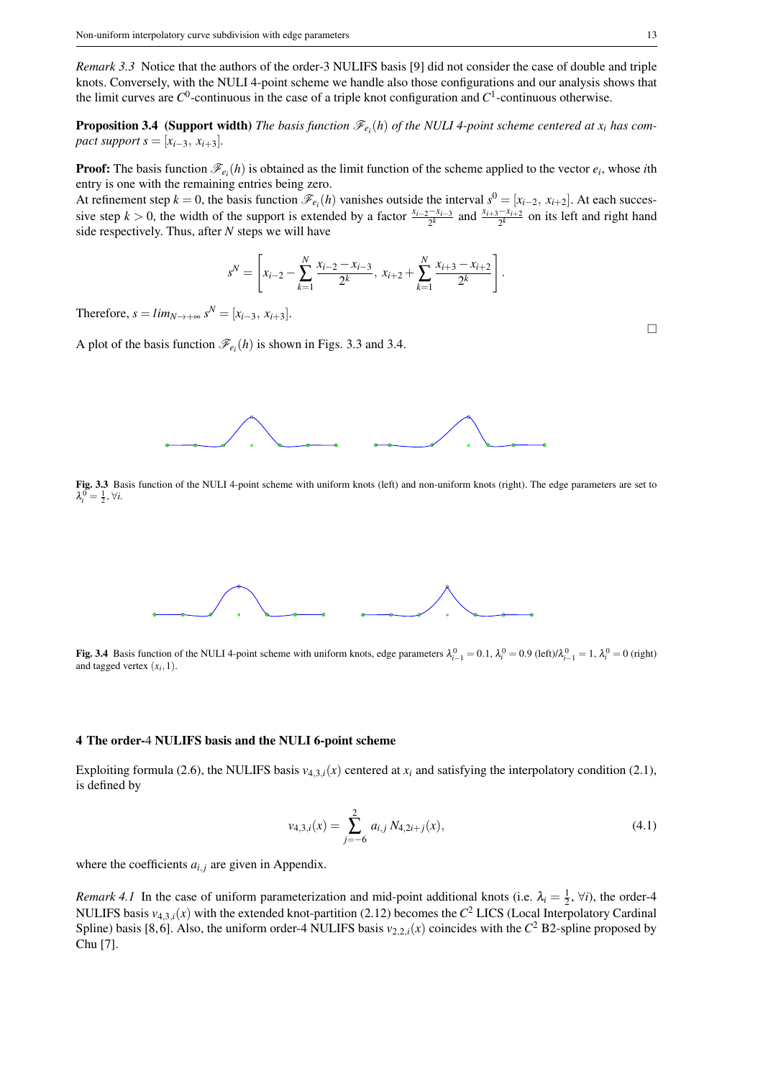*Remark 3.3* Notice that the authors of the order-3 NULIFS basis [9] did not consider the case of double and triple knots. Conversely, with the NULI 4-point scheme we handle also those configurations and our analysis shows that the limit curves are  $C^0$ -continuous in the case of a triple knot configuration and  $C^1$ -continuous otherwise.

**Proposition 3.4** (Support width) The basis function  $\mathscr{F}_{e_i}(h)$  of the NULI 4-point scheme centered at  $x_i$  has com*pact support s* =  $[x_{i-3}, x_{i+3}]$ *.* 

**Proof:** The basis function  $\mathcal{F}_{e_i}(h)$  is obtained as the limit function of the scheme applied to the vector  $e_i$ , whose *i*th entry is one with the remaining entries being zero.

At refinement step  $k = 0$ , the basis function  $\mathcal{F}_{e_i}(h)$  vanishes outside the interval  $s^0 = [x_{i-2}, x_{i+2}]$ . At each successive step  $k > 0$ , the width of the support is extended by a factor  $\frac{x_{i-2}-x_{i-3}}{2^k}$  and  $\frac{x_{i+3}-x_{i+2}}{2^k}$  on its left and right hand side respectively. Thus, after *N* steps we will have

$$
s^N = \left[x_{i-2} - \sum_{k=1}^N \frac{x_{i-2} - x_{i-3}}{2^k}, \ x_{i+2} + \sum_{k=1}^N \frac{x_{i+3} - x_{i+2}}{2^k}\right].
$$

Therefore,  $s = \lim_{N \to +\infty} s^N = [x_{i-3}, x_{i+3}].$ 

A plot of the basis function  $\mathcal{F}_{e_i}(h)$  is shown in Figs. 3.3 and 3.4.



Fig. 3.3 Basis function of the NULI 4-point scheme with uniform knots (left) and non-uniform knots (right). The edge parameters are set to  $\lambda_i^0 = \frac{1}{2}, \forall i.$ 



Fig. 3.4 Basis function of the NULI 4-point scheme with uniform knots, edge parameters  $\lambda_{i-1}^0 = 0.1$ ,  $\lambda_i^0 = 0.9$  (left)/ $\lambda_{i-1}^0 = 1$ ,  $\lambda_i^0 = 0$  (right) and tagged vertex  $(x_i, 1)$ .

#### 4 The order-4 NULIFS basis and the NULI 6-point scheme

Exploiting formula (2.6), the NULIFS basis  $v_{4,3,i}(x)$  centered at  $x_i$  and satisfying the interpolatory condition (2.1), is defined by

$$
\nu_{4,3,i}(x) = \sum_{j=-6}^{2} a_{i,j} N_{4,2i+j}(x),\tag{4.1}
$$

where the coefficients  $a_{i,j}$  are given in Appendix.

*Remark 4.1* In the case of uniform parameterization and mid-point additional knots (i.e.  $\lambda_i = \frac{1}{2}$ ,  $\forall i$ ), the order-4 NULIFS basis  $v_{4,3,i}(x)$  with the extended knot-partition (2.12) becomes the  $C^2$  LICS (Local Interpolatory Cardinal Spline) basis [8,6]. Also, the uniform order-4 NULIFS basis  $v_{2,2,i}(x)$  coincides with the  $C^2$  B2-spline proposed by Chu [7].

 $\Box$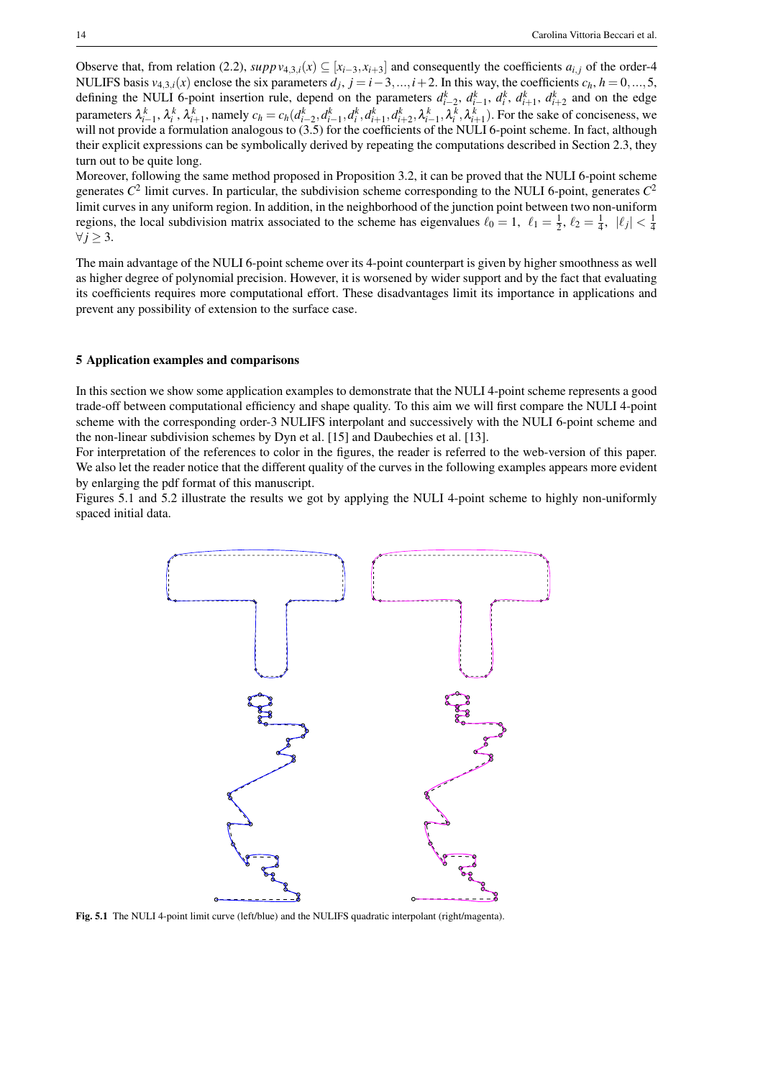Observe that, from relation (2.2),  $supp v_{4,3,i}(x) \subseteq [x_{i-3}, x_{i+3}]$  and consequently the coefficients  $a_{i,j}$  of the order-4 NULIFS basis  $v_{4,3,i}(x)$  enclose the six parameters  $d_j$ ,  $j = i-3,...,i+2$ . In this way, the coefficients  $c_h$ ,  $h = 0,...,5$ , defining the NULI 6-point insertion rule, depend on the parameters  $d_{i-2}^k$ ,  $d_{i-1}^k$ ,  $d_i^k$ ,  $d_{i+1}^k$ ,  $d_{i+2}^k$  and on the edge parameters  $\lambda_{i-1}^k$ ,  $\lambda_i^k$ ,  $\lambda_{i+1}^k$ , namely  $c_h = c_h(d_{i-2}^k, d_{i-1}^k, d_i^k, d_{i+1}^k, d_{i+2}^k, \lambda_{i-1}^k, \lambda_i^k, \lambda_{i+1}^k)$ . For the sake of conciseness, we will not provide a formulation analogous to (3.5) for the coefficients of the NULI 6-point scheme. In fact, although their explicit expressions can be symbolically derived by repeating the computations described in Section 2.3, they turn out to be quite long.

Moreover, following the same method proposed in Proposition 3.2, it can be proved that the NULI 6-point scheme generates  $C^2$  limit curves. In particular, the subdivision scheme corresponding to the NULI 6-point, generates  $C^2$ limit curves in any uniform region. In addition, in the neighborhood of the junction point between two non-uniform regions, the local subdivision matrix associated to the scheme has eigenvalues  $\ell_0 = 1$ ,  $\ell_1 = \frac{1}{2}$ ,  $\ell_2 = \frac{1}{4}$ ,  $|\ell_j| < \frac{1}{4}$ *∀ j ≥* 3.

The main advantage of the NULI 6-point scheme over its 4-point counterpart is given by higher smoothness as well as higher degree of polynomial precision. However, it is worsened by wider support and by the fact that evaluating its coefficients requires more computational effort. These disadvantages limit its importance in applications and prevent any possibility of extension to the surface case.

## 5 Application examples and comparisons

In this section we show some application examples to demonstrate that the NULI 4-point scheme represents a good trade-off between computational efficiency and shape quality. To this aim we will first compare the NULI 4-point scheme with the corresponding order-3 NULIFS interpolant and successively with the NULI 6-point scheme and the non-linear subdivision schemes by Dyn et al. [15] and Daubechies et al. [13].

For interpretation of the references to color in the figures, the reader is referred to the web-version of this paper. We also let the reader notice that the different quality of the curves in the following examples appears more evident by enlarging the pdf format of this manuscript.

Figures 5.1 and 5.2 illustrate the results we got by applying the NULI 4-point scheme to highly non-uniformly spaced initial data.



Fig. 5.1 The NULI 4-point limit curve (left/blue) and the NULIFS quadratic interpolant (right/magenta).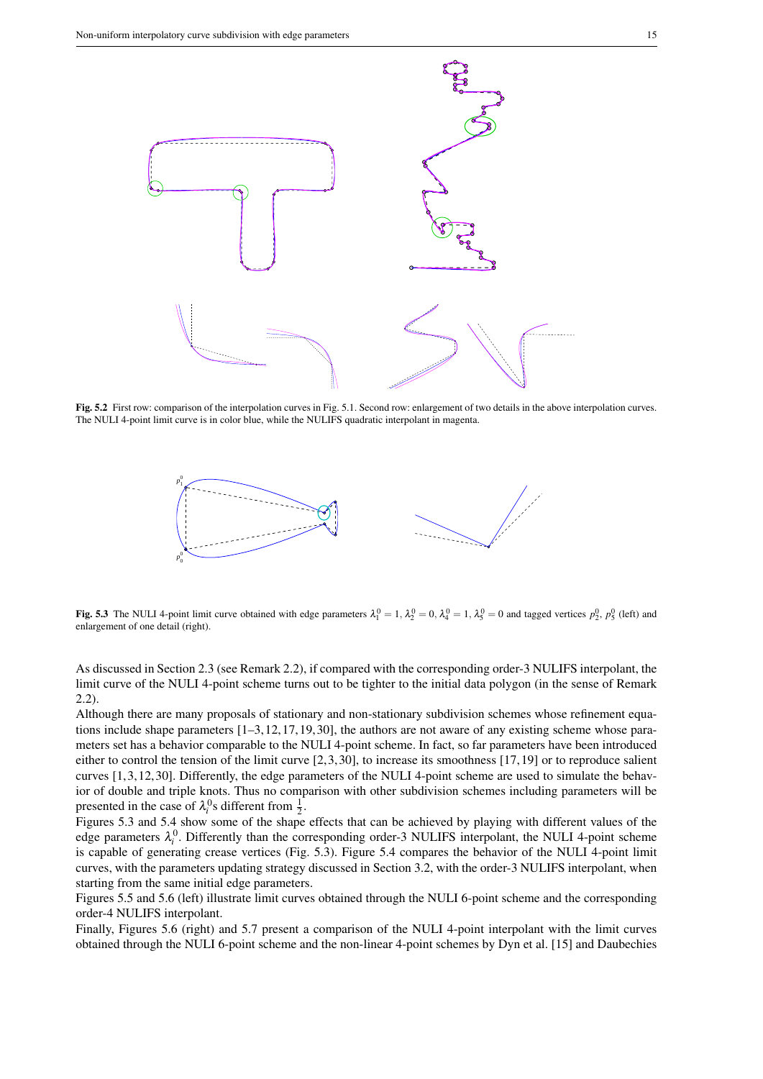

Fig. 5.2 First row: comparison of the interpolation curves in Fig. 5.1. Second row: enlargement of two details in the above interpolation curves. The NULI 4-point limit curve is in color blue, while the NULIFS quadratic interpolant in magenta.



Fig. 5.3 The NULI 4-point limit curve obtained with edge parameters  $\lambda_1^0 = 1$ ,  $\lambda_2^0 = 0$ ,  $\lambda_4^0 = 1$ ,  $\lambda_5^0 = 0$  and tagged vertices  $p_2^0$ ,  $p_5^0$  (left) and enlargement of one detail (right).

As discussed in Section 2.3 (see Remark 2.2), if compared with the corresponding order-3 NULIFS interpolant, the limit curve of the NULI 4-point scheme turns out to be tighter to the initial data polygon (in the sense of Remark 2.2).

Although there are many proposals of stationary and non-stationary subdivision schemes whose refinement equations include shape parameters [1–3, 12, 17, 19, 30], the authors are not aware of any existing scheme whose parameters set has a behavior comparable to the NULI 4-point scheme. In fact, so far parameters have been introduced either to control the tension of the limit curve  $[2, 3, 30]$ , to increase its smoothness  $[17, 19]$  or to reproduce salient curves [1, 3, 12, 30]. Differently, the edge parameters of the NULI 4-point scheme are used to simulate the behavior of double and triple knots. Thus no comparison with other subdivision schemes including parameters will be presented in the case of  $\lambda_i^0$ s different from  $\frac{1}{2}$ .

Figures 5.3 and 5.4 show some of the shape effects that can be achieved by playing with different values of the edge parameters  $\lambda_i^0$ . Differently than the corresponding order-3 NULIFS interpolant, the NULI 4-point scheme is capable of generating crease vertices (Fig. 5.3). Figure 5.4 compares the behavior of the NULI 4-point limit curves, with the parameters updating strategy discussed in Section 3.2, with the order-3 NULIFS interpolant, when starting from the same initial edge parameters.

Figures 5.5 and 5.6 (left) illustrate limit curves obtained through the NULI 6-point scheme and the corresponding order-4 NULIFS interpolant.

Finally, Figures 5.6 (right) and 5.7 present a comparison of the NULI 4-point interpolant with the limit curves obtained through the NULI 6-point scheme and the non-linear 4-point schemes by Dyn et al. [15] and Daubechies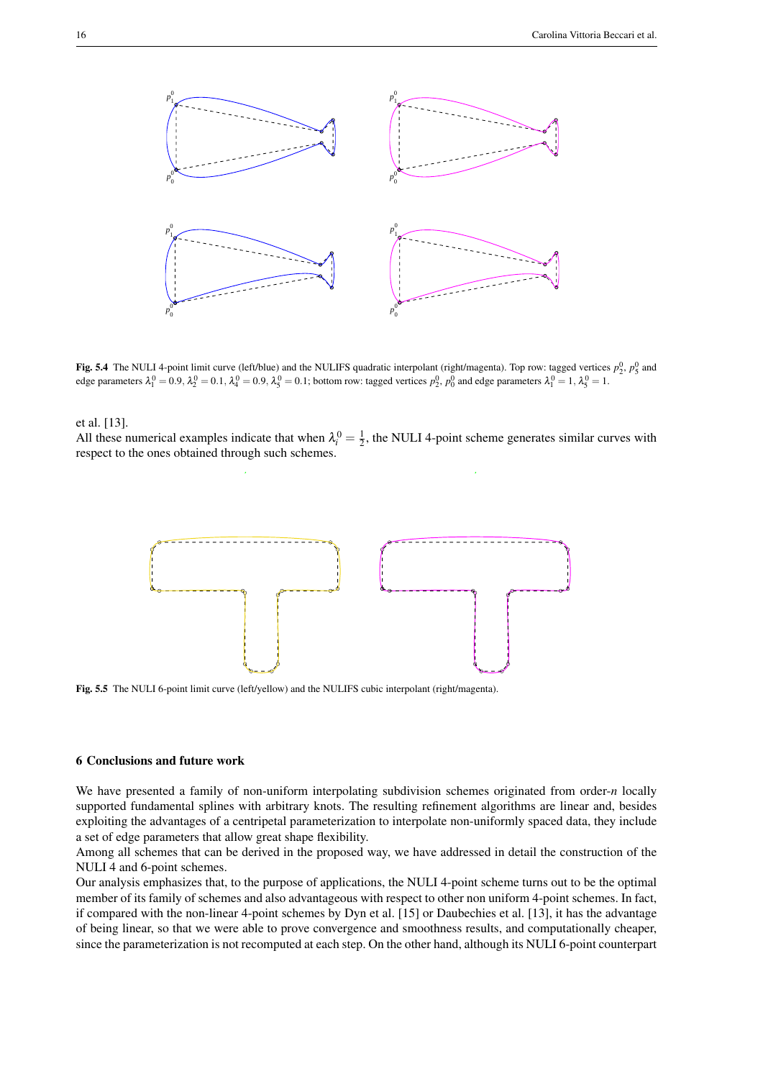

Fig. 5.4 The NULI 4-point limit curve (left/blue) and the NULIFS quadratic interpolant (right/magenta). Top row: tagged vertices  $p_2^0$ ,  $p_5^0$  and edge parameters  $\lambda_1^0 = 0.9$ ,  $\lambda_2^0 = 0.1$ ,  $\lambda_4^0 = 0.9$ ,  $\lambda_5^0 = 0.1$ ; bottom row: tagged vertices  $p_2^0$ ,  $p_0^0$  and edge parameters  $\lambda_1^0 = 1$ ,  $\lambda_5^0 = 1$ .

### et al. [13].

All these numerical examples indicate that when  $\lambda_i^0 = \frac{1}{2}$ , the NULI 4-point scheme generates similar curves with respect to the ones obtained through such schemes.



Fig. 5.5 The NULI 6-point limit curve (left/yellow) and the NULIFS cubic interpolant (right/magenta).

### 6 Conclusions and future work

We have presented a family of non-uniform interpolating subdivision schemes originated from order-*n* locally supported fundamental splines with arbitrary knots. The resulting refinement algorithms are linear and, besides exploiting the advantages of a centripetal parameterization to interpolate non-uniformly spaced data, they include a set of edge parameters that allow great shape flexibility.

Among all schemes that can be derived in the proposed way, we have addressed in detail the construction of the NULI 4 and 6-point schemes.

Our analysis emphasizes that, to the purpose of applications, the NULI 4-point scheme turns out to be the optimal member of its family of schemes and also advantageous with respect to other non uniform 4-point schemes. In fact, if compared with the non-linear 4-point schemes by Dyn et al. [15] or Daubechies et al. [13], it has the advantage of being linear, so that we were able to prove convergence and smoothness results, and computationally cheaper, since the parameterization is not recomputed at each step. On the other hand, although its NULI 6-point counterpart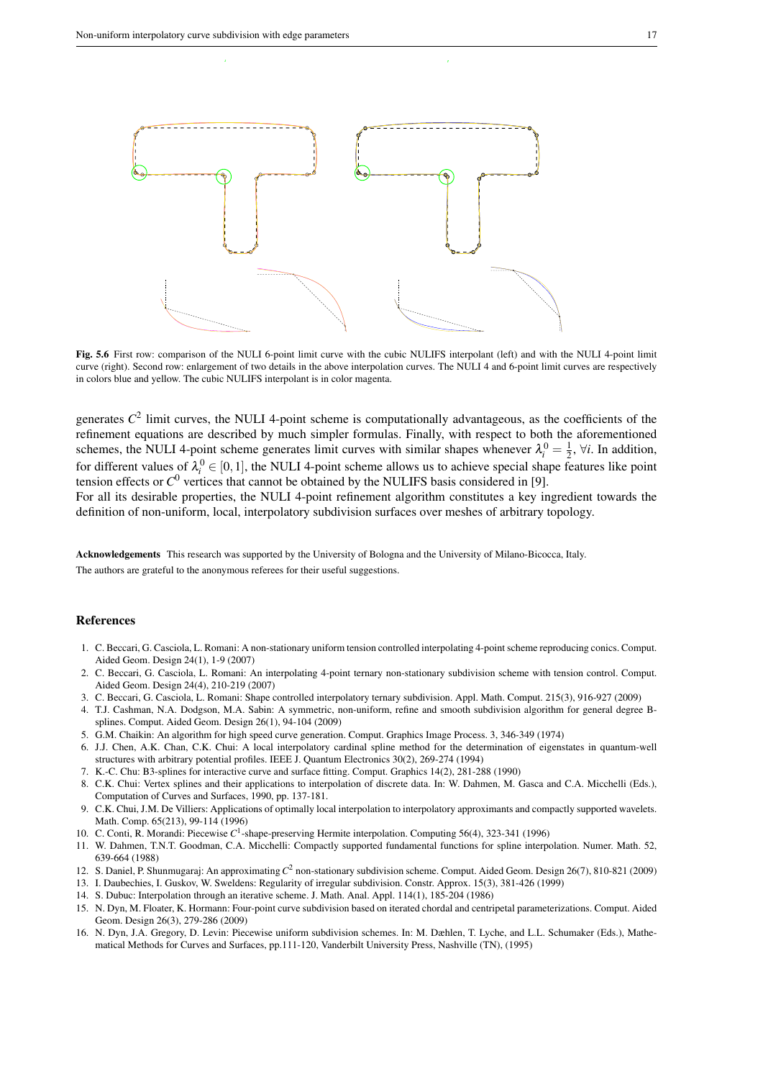

Fig. 5.6 First row: comparison of the NULI 6-point limit curve with the cubic NULIFS interpolant (left) and with the NULI 4-point limit curve (right). Second row: enlargement of two details in the above interpolation curves. The NULI 4 and 6-point limit curves are respectively in colors blue and yellow. The cubic NULIFS interpolant is in color magenta.

generates  $C<sup>2</sup>$  limit curves, the NULI 4-point scheme is computationally advantageous, as the coefficients of the refinement equations are described by much simpler formulas. Finally, with respect to both the aforementioned schemes, the NULI 4-point scheme generates limit curves with similar shapes whenever  $\lambda_i^0 = \frac{1}{2}$ ,  $\forall i$ . In addition, for different values of  $\lambda_i^0 \in [0,1]$ , the NULI 4-point scheme allows us to achieve special shape features like point tension effects or *C* <sup>0</sup> vertices that cannot be obtained by the NULIFS basis considered in [9].

For all its desirable properties, the NULI 4-point refinement algorithm constitutes a key ingredient towards the definition of non-uniform, local, interpolatory subdivision surfaces over meshes of arbitrary topology.

Acknowledgements This research was supported by the University of Bologna and the University of Milano-Bicocca, Italy. The authors are grateful to the anonymous referees for their useful suggestions.

#### References

- 1. C. Beccari, G. Casciola, L. Romani: A non-stationary uniform tension controlled interpolating 4-point scheme reproducing conics. Comput. Aided Geom. Design 24(1), 1-9 (2007)
- 2. C. Beccari, G. Casciola, L. Romani: An interpolating 4-point ternary non-stationary subdivision scheme with tension control. Comput. Aided Geom. Design 24(4), 210-219 (2007)
- 3. C. Beccari, G. Casciola, L. Romani: Shape controlled interpolatory ternary subdivision. Appl. Math. Comput. 215(3), 916-927 (2009)
- 4. T.J. Cashman, N.A. Dodgson, M.A. Sabin: A symmetric, non-uniform, refine and smooth subdivision algorithm for general degree Bsplines. Comput. Aided Geom. Design 26(1), 94-104 (2009)
- 5. G.M. Chaikin: An algorithm for high speed curve generation. Comput. Graphics Image Process. 3, 346-349 (1974)
- 6. J.J. Chen, A.K. Chan, C.K. Chui: A local interpolatory cardinal spline method for the determination of eigenstates in quantum-well structures with arbitrary potential profiles. IEEE J. Quantum Electronics 30(2), 269-274 (1994)
- 7. K.-C. Chu: B3-splines for interactive curve and surface fitting. Comput. Graphics 14(2), 281-288 (1990)
- 8. C.K. Chui: Vertex splines and their applications to interpolation of discrete data. In: W. Dahmen, M. Gasca and C.A. Micchelli (Eds.), Computation of Curves and Surfaces, 1990, pp. 137-181.
- 9. C.K. Chui, J.M. De Villiers: Applications of optimally local interpolation to interpolatory approximants and compactly supported wavelets. Math. Comp. 65(213), 99-114 (1996)
- 10. C. Conti, R. Morandi: Piecewise *C* 1 -shape-preserving Hermite interpolation. Computing 56(4), 323-341 (1996)
- 11. W. Dahmen, T.N.T. Goodman, C.A. Micchelli: Compactly supported fundamental functions for spline interpolation. Numer. Math. 52, 639-664 (1988)
- 12. S. Daniel, P. Shunmugaraj: An approximating*C* <sup>2</sup> non-stationary subdivision scheme. Comput. Aided Geom. Design 26(7), 810-821 (2009)
- 13. I. Daubechies, I. Guskov, W. Sweldens: Regularity of irregular subdivision. Constr. Approx. 15(3), 381-426 (1999)
- 14. S. Dubuc: Interpolation through an iterative scheme. J. Math. Anal. Appl. 114(1), 185-204 (1986)
- 15. N. Dyn, M. Floater, K. Hormann: Four-point curve subdivision based on iterated chordal and centripetal parameterizations. Comput. Aided Geom. Design 26(3), 279-286 (2009)
- 16. N. Dyn, J.A. Gregory, D. Levin: Piecewise uniform subdivision schemes. In: M. Dæhlen, T. Lyche, and L.L. Schumaker (Eds.), Mathematical Methods for Curves and Surfaces, pp.111-120, Vanderbilt University Press, Nashville (TN), (1995)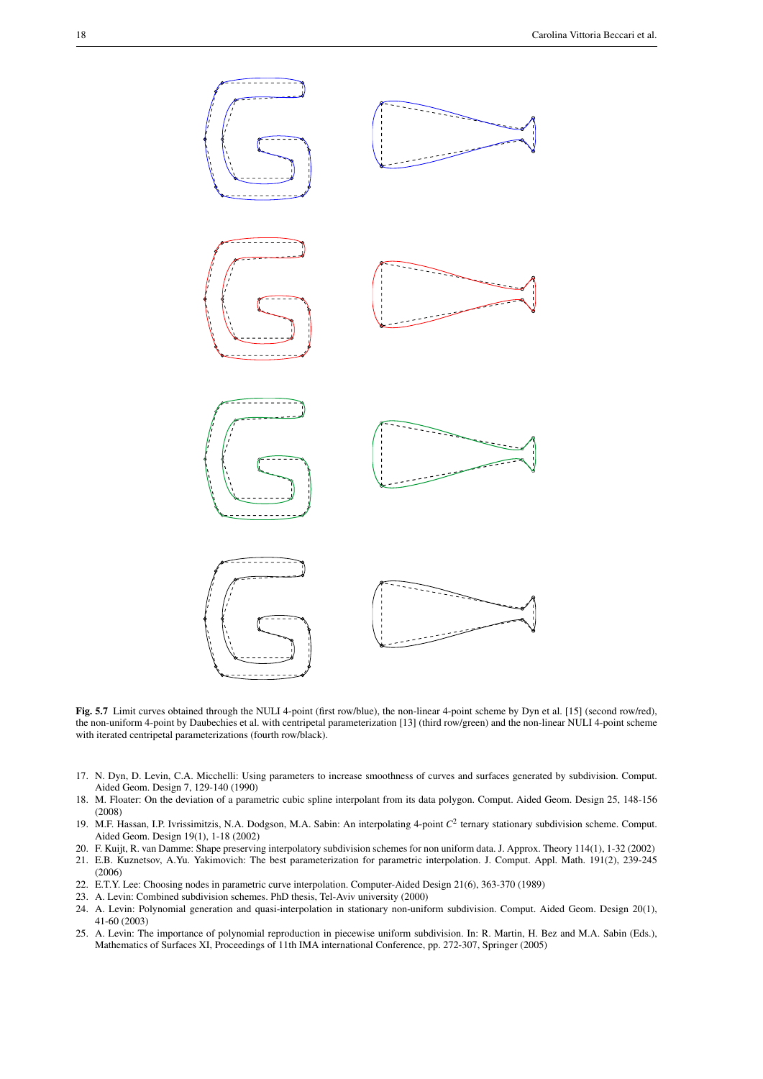

Fig. 5.7 Limit curves obtained through the NULI 4-point (first row/blue), the non-linear 4-point scheme by Dyn et al. [15] (second row/red), the non-uniform 4-point by Daubechies et al. with centripetal parameterization [13] (third row/green) and the non-linear NULI 4-point scheme with iterated centripetal parameterizations (fourth row/black).

- 17. N. Dyn, D. Levin, C.A. Micchelli: Using parameters to increase smoothness of curves and surfaces generated by subdivision. Comput. Aided Geom. Design 7, 129-140 (1990)
- 18. M. Floater: On the deviation of a parametric cubic spline interpolant from its data polygon. Comput. Aided Geom. Design 25, 148-156 (2008)
- 19. M.F. Hassan, I.P. Ivrissimitzis, N.A. Dodgson, M.A. Sabin: An interpolating 4-point *C* 2 ternary stationary subdivision scheme. Comput. Aided Geom. Design 19(1), 1-18 (2002)
- 20. F. Kuijt, R. van Damme: Shape preserving interpolatory subdivision schemes for non uniform data. J. Approx. Theory 114(1), 1-32 (2002)
- 21. E.B. Kuznetsov, A.Yu. Yakimovich: The best parameterization for parametric interpolation. J. Comput. Appl. Math. 191(2), 239-245 (2006)
- 22. E.T.Y. Lee: Choosing nodes in parametric curve interpolation. Computer-Aided Design 21(6), 363-370 (1989)
- 23. A. Levin: Combined subdivision schemes. PhD thesis, Tel-Aviv university (2000)
- 24. A. Levin: Polynomial generation and quasi-interpolation in stationary non-uniform subdivision. Comput. Aided Geom. Design 20(1), 41-60 (2003)
- 25. A. Levin: The importance of polynomial reproduction in piecewise uniform subdivision. In: R. Martin, H. Bez and M.A. Sabin (Eds.), Mathematics of Surfaces XI, Proceedings of 11th IMA international Conference, pp. 272-307, Springer (2005)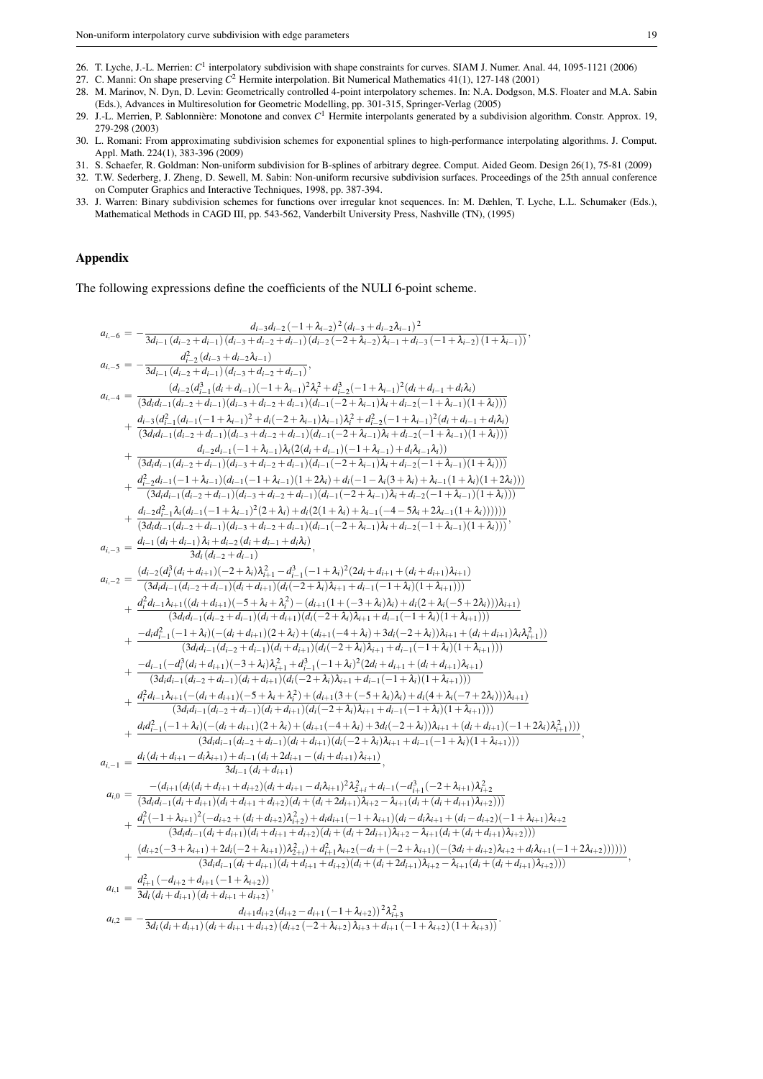- 26. T. Lyche, J.-L. Merrien: *C* 1 interpolatory subdivision with shape constraints for curves. SIAM J. Numer. Anal. 44, 1095-1121 (2006)
- 27. C. Manni: On shape preserving *C* <sup>2</sup> Hermite interpolation. Bit Numerical Mathematics 41(1), 127-148 (2001) 28. M. Marinov, N. Dyn, D. Levin: Geometrically controlled 4-point interpolatory schemes. In: N.A. Dodgson, M.S. Floater and M.A. Sabin
- (Eds.), Advances in Multiresolution for Geometric Modelling, pp. 301-315, Springer-Verlag (2005) 29. J.-L. Merrien, P. Sablonnière: Monotone and convex C<sup>1</sup> Hermite interpolants generated by a subdivision algorithm. Constr. Approx. 19,
- 279-298 (2003)
- 30. L. Romani: From approximating subdivision schemes for exponential splines to high-performance interpolating algorithms. J. Comput. Appl. Math. 224(1), 383-396 (2009)
- 31. S. Schaefer, R. Goldman: Non-uniform subdivision for B-splines of arbitrary degree. Comput. Aided Geom. Design 26(1), 75-81 (2009)
- 32. T.W. Sederberg, J. Zheng, D. Sewell, M. Sabin: Non-uniform recursive subdivision surfaces. Proceedings of the 25th annual conference on Computer Graphics and Interactive Techniques, 1998, pp. 387-394.
- 33. J. Warren: Binary subdivision schemes for functions over irregular knot sequences. In: M. Dæhlen, T. Lyche, L.L. Schumaker (Eds.), Mathematical Methods in CAGD III, pp. 543-562, Vanderbilt University Press, Nashville (TN), (1995)

## Appendix

The following expressions define the coefficients of the NULI 6-point scheme.

$$
a_{i,-6} = -\frac{4-3d_{i-2}(-1+\lambda_{i-2})^2(4_{i-3}+d_{i-2}\lambda_{i-1})^2}{3d_{i-1}(d_{i-2}+d_{i-1})\left(d_{i-2}(-2+\lambda_{i-2})\lambda_{i-1}+d_{i-3}(-1+\lambda_{i-2})(1+\lambda_{i-1})\right)}, \\ a_{i,-5} = -\frac{d_{i-2}^2(d_{i-3}+d_{i-2}\lambda_{i-1})}{3d_{i-1}(d_{i-2}+d_{i-1})(d_{i-3}+d_{i-2}+d_{i-1})}, \\ a_{i,-4} = \frac{(d_{i-2}(d_{i-3}^2+d_{i-2}\lambda_{i-1})}{(2d_{i}(d_{i-1}(-1+\lambda_{i-1})^2+d_{i-2}^2+d_{i-2})(1+\lambda_{i-1})^2(d_{i}+d_{i-1}+d_{i}\lambda)}{(2d_{i}(d_{i-1}(-1+\lambda_{i-1})^2+d_{i-2}^2+d_{i-1})(d_{i-1}(-2+\lambda_{i-1})\lambda_{i}^2+d_{i-2}^2(-1+\lambda_{i-1})^2(d_{i}+d_{i-1}+d_{i}\lambda))}
$$
  
+ 
$$
\frac{(d_{i-3}(d_{i-1}^2-1(d_{i-2}+d_{i-1})(d_{i-3}+d_{i-2}+d_{i-1}))d_{i-1}(-2+\lambda_{i-1})\lambda_{i}^2+d_{i-2}^2(-1+\lambda_{i-1})(1+\lambda_{i}))}{(3d_{i}(d_{i-1}(d_{i-2}+d_{i-1})(d_{i-3}+d_{i-2}+d_{i-1})(d_{i-1}(-2+\lambda_{i-1})\lambda_{i}+d_{i-2}(-1+\lambda_{i-1})(1+\lambda_{i}))}
$$
  
+ 
$$
\frac{(d_{i-3}(d_{i-1}(-1+\lambda_{i-1})^2(2+\lambda_{i}+d_{i-1})(d_{i-1}(-2+\lambda_{i-1})\lambda_{i}+d_{i-2}(-1+\lambda_{i-1})(1+\lambda_{i}))}{(3d_{i}(d_{i-1}(-d_{i-2}+d_{i-1})(d_{i-3}+d_{i-2}+d_{i-1})(d_{i-1}(-2+\lambda_{i-1
$$